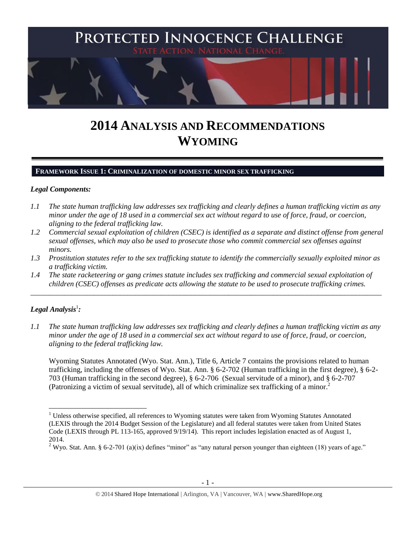

# **2014 ANALYSIS AND RECOMMENDATIONS WYOMING**

#### **FRAMEWORK ISSUE 1: CRIMINALIZATION OF DOMESTIC MINOR SEX TRAFFICKING**

#### *Legal Components:*

- *1.1 The state human trafficking law addresses sex trafficking and clearly defines a human trafficking victim as any minor under the age of 18 used in a commercial sex act without regard to use of force, fraud, or coercion, aligning to the federal trafficking law.*
- *1.2 Commercial sexual exploitation of children (CSEC) is identified as a separate and distinct offense from general sexual offenses, which may also be used to prosecute those who commit commercial sex offenses against minors.*
- *1.3 Prostitution statutes refer to the sex trafficking statute to identify the commercially sexually exploited minor as a trafficking victim.*
- *1.4 The state racketeering or gang crimes statute includes sex trafficking and commercial sexual exploitation of children (CSEC) offenses as predicate acts allowing the statute to be used to prosecute trafficking crimes.*

\_\_\_\_\_\_\_\_\_\_\_\_\_\_\_\_\_\_\_\_\_\_\_\_\_\_\_\_\_\_\_\_\_\_\_\_\_\_\_\_\_\_\_\_\_\_\_\_\_\_\_\_\_\_\_\_\_\_\_\_\_\_\_\_\_\_\_\_\_\_\_\_\_\_\_\_\_\_\_\_\_\_\_\_\_\_\_\_\_\_\_\_\_\_

# $\bm{L}$ egal Analysis $^1$ :

<span id="page-0-0"></span> $\overline{\phantom{a}}$ 

*1.1 The state human trafficking law addresses sex trafficking and clearly defines a human trafficking victim as any minor under the age of 18 used in a commercial sex act without regard to use of force, fraud, or coercion, aligning to the federal trafficking law.*

Wyoming Statutes Annotated (Wyo. Stat. Ann.), Title 6, Article 7 contains the provisions related to human trafficking, including the offenses of Wyo. Stat. Ann. § 6-2-702 (Human trafficking in the first degree), § 6-2- 703 (Human trafficking in the second degree), § 6-2-706 (Sexual servitude of a minor), and § 6-2-707 (Patronizing a victim of sexual servitude), all of which criminalize sex trafficking of a minor.<sup>2</sup>

<sup>&</sup>lt;sup>1</sup> Unless otherwise specified, all references to Wyoming statutes were taken from Wyoming Statutes Annotated (LEXIS through the 2014 Budget Session of the Legislature) and all federal statutes were taken from United States Code (LEXIS through PL 113-165, approved 9/19/14). This report includes legislation enacted as of August 1, 2014.

<sup>&</sup>lt;sup>2</sup> Wyo. Stat. Ann. § 6-2-701 (a)(ix) defines "minor" as "any natural person younger than eighteen (18) years of age."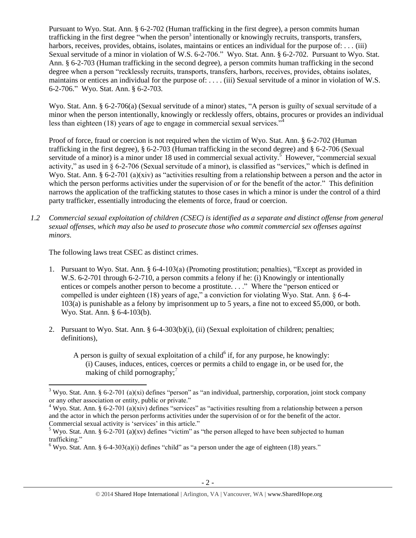<span id="page-1-0"></span>Pursuant to Wyo. Stat. Ann. § 6-2-702 (Human trafficking in the first degree), a person commits human trafficking in the first degree "when the person<sup>3</sup> intentionally or knowingly recruits, transports, transfers, harbors, receives, provides, obtains, isolates, maintains or entices an individual for the purpose of: . . . (iii) Sexual servitude of a minor in violation of W.S. 6-2-706." Wyo. Stat. Ann. § 6-2-702. Pursuant to Wyo. Stat. Ann. § 6-2-703 (Human trafficking in the second degree), a person commits human trafficking in the second degree when a person "recklessly recruits, transports, transfers, harbors, receives, provides, obtains isolates, maintains or entices an individual for the purpose of: . . . . (iii) Sexual servitude of a minor in violation of W.S. 6-2-706." Wyo. Stat. Ann. § 6-2-703.

Wyo. Stat. Ann. § 6-2-706(a) (Sexual servitude of a minor) states, "A person is guilty of sexual servitude of a minor when the person intentionally, knowingly or recklessly offers, obtains, procures or provides an individual less than eighteen (18) years of age to engage in commercial sexual services."

<span id="page-1-1"></span>Proof of force, fraud or coercion is not required when the victim of Wyo. Stat. Ann. § 6-2-702 (Human trafficking in the first degree), § 6-2-703 (Human trafficking in the second degree) and § 6-2-706 (Sexual servitude of a minor) is a minor under 18 used in commercial sexual activity.<sup>5</sup> However, "commercial sexual activity," as used in § 6-2-706 (Sexual servitude of a minor), is classified as "services," which is defined in Wyo. Stat. Ann. § 6-2-701 (a)(xiv) as "activities resulting from a relationship between a person and the actor in which the person performs activities under the supervision of or for the benefit of the actor." This definition narrows the application of the trafficking statutes to those cases in which a minor is under the control of a third party trafficker, essentially introducing the elements of force, fraud or coercion.

*1.2 Commercial sexual exploitation of children (CSEC) is identified as a separate and distinct offense from general sexual offenses, which may also be used to prosecute those who commit commercial sex offenses against minors.*

The following laws treat CSEC as distinct crimes.

<span id="page-1-3"></span><span id="page-1-2"></span> $\overline{\phantom{a}}$ 

- 1. Pursuant to Wyo. Stat. Ann. § 6-4-103(a) (Promoting prostitution; penalties), "Except as provided in W.S. 6-2-701 through 6-2-710, a person commits a felony if he: (i) Knowingly or intentionally entices or compels another person to become a prostitute. . . ." Where the "person enticed or compelled is under eighteen (18) years of age," a conviction for violating Wyo. Stat. Ann. § 6-4- 103(a) is punishable as a felony by imprisonment up to 5 years, a fine not to exceed \$5,000, or both. Wyo. Stat. Ann. § 6-4-103(b).
- 2. Pursuant to Wyo. Stat. Ann. § 6-4-303(b)(i), (ii) (Sexual exploitation of children; penalties; definitions),
	- A person is guilty of sexual exploitation of a child $6$  if, for any purpose, he knowingly: (i) Causes, induces, entices, coerces or permits a child to engage in, or be used for, the making of child pornography;<sup>7</sup>

<sup>&</sup>lt;sup>3</sup> Wyo. Stat. Ann. § 6-2-701 (a)(xi) defines "person" as "an individual, partnership, corporation, joint stock company or any other association or entity, public or private."

<sup>&</sup>lt;sup>4</sup> Wyo. Stat. Ann. § 6-2-701 (a)(xiv) defines "services" as "activities resulting from a relationship between a person and the actor in which the person performs activities under the supervision of or for the benefit of the actor. Commercial sexual activity is 'services' in this article."

<sup>&</sup>lt;sup>5</sup> Wyo. Stat. Ann. § 6-2-701 (a)(xy) defines "victim" as "the person alleged to have been subjected to human trafficking."

<sup>&</sup>lt;sup>6</sup> Wyo. Stat. Ann. § 6-4-303(a)(i) defines "child" as "a person under the age of eighteen (18) years."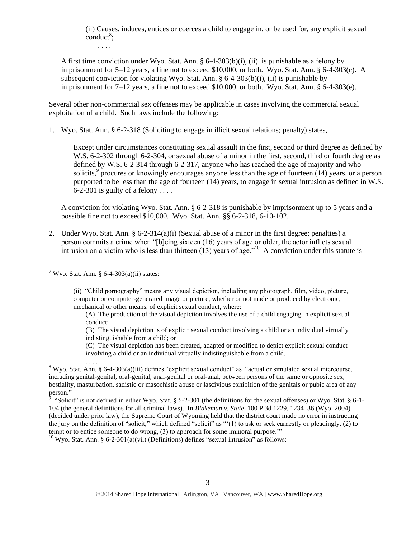(ii) Causes, induces, entices or coerces a child to engage in, or be used for, any explicit sexual  $\text{conduct}^8$ ;

. . . .

A first time conviction under Wyo. Stat. Ann. § 6-4-303(b)(i), (ii) is punishable as a felony by imprisonment for 5–12 years, a fine not to exceed  $$10,000$ , or both. Wyo. Stat. Ann. § 6-4-303(c). A subsequent conviction for violating Wyo. Stat. Ann.  $\S 6-4-303(b)(i)$ , (ii) is punishable by imprisonment for  $7-12$  years, a fine not to exceed \$10,000, or both. Wyo. Stat. Ann. § 6-4-303(e).

Several other non-commercial sex offenses may be applicable in cases involving the commercial sexual exploitation of a child. Such laws include the following:

1. Wyo. Stat. Ann. § 6-2-318 (Soliciting to engage in illicit sexual relations; penalty) states,

Except under circumstances constituting sexual assault in the first, second or third degree as defined by W.S. 6-2-302 through 6-2-304, or sexual abuse of a minor in the first, second, third or fourth degree as defined by W.S. 6-2-314 through 6-2-317, anyone who has reached the age of majority and who solicits,<sup>9</sup> procures or knowingly encourages anyone less than the age of fourteen (14) years, or a person purported to be less than the age of fourteen (14) years, to engage in sexual intrusion as defined in W.S. 6-2-301 is guilty of a felony ....

A conviction for violating Wyo. Stat. Ann. § 6-2-318 is punishable by imprisonment up to 5 years and a possible fine not to exceed \$10,000. Wyo. Stat. Ann. §§ 6-2-318, 6-10-102.

2. Under Wyo. Stat. Ann. § 6-2-314(a)(i) (Sexual abuse of a minor in the first degree; penalties) a person commits a crime when "[b]eing sixteen (16) years of age or older, the actor inflicts sexual intrusion on a victim who is less than thirteen  $(13)$  years of age."<sup>10</sup> A conviction under this statute is

 $7$  Wyo. Stat. Ann. § 6-4-303(a)(ii) states:

. . . .

 $\overline{a}$ 

(ii) "Child pornography" means any visual depiction, including any photograph, film, video, picture, computer or computer-generated image or picture, whether or not made or produced by electronic, mechanical or other means, of explicit sexual conduct, where:

(A) The production of the visual depiction involves the use of a child engaging in explicit sexual conduct;

(B) The visual depiction is of explicit sexual conduct involving a child or an individual virtually indistinguishable from a child; or

(C) The visual depiction has been created, adapted or modified to depict explicit sexual conduct involving a child or an individual virtually indistinguishable from a child.

 $8$  Wyo. Stat. Ann. § 6-4-303(a)(iii) defines "explicit sexual conduct" as "actual or simulated sexual intercourse, including genital-genital, oral-genital, anal-genital or oral-anal, between persons of the same or opposite sex, bestiality, masturbation, sadistic or masochistic abuse or lascivious exhibition of the genitals or pubic area of any person."<br><sup>9</sup> "Solie"

 "Solicit" is not defined in either Wyo. Stat. § 6-2-301 (the definitions for the sexual offenses) or Wyo. Stat. § 6-1- 104 (the general definitions for all criminal laws). In *Blakeman v. State*, 100 P.3d 1229, 1234–36 (Wyo. 2004) (decided under prior law), the Supreme Court of Wyoming held that the district court made no error in instructing the jury on the definition of "solicit," which defined "solicit" as "'(1) to ask or seek earnestly or pleadingly, (2) to tempt or to entice someone to do wrong, (3) to approach for some immoral purpose.'"

<sup>10</sup> Wyo. Stat. Ann. § 6-2-301(a)(vii) (Definitions) defines "sexual intrusion" as follows: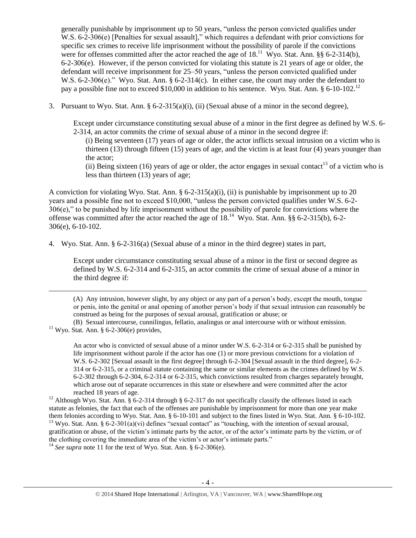generally punishable by imprisonment up to 50 years, "unless the person convicted qualifies under W.S. 6-2-306(e) [Penalties for sexual assault]," which requires a defendant with prior convictions for specific sex crimes to receive life imprisonment without the possibility of parole if the convictions were for offenses committed after the actor reached the age of  $18$ .<sup>11</sup> Wyo. Stat. Ann. §§ 6-2-314(b), 6-2-306(e). However, if the person convicted for violating this statute is 21 years of age or older, the defendant will receive imprisonment for 25–50 years, "unless the person convicted qualified under W.S. 6-2-306(e)." Wyo. Stat. Ann. § 6-2-314(c). In either case, the court may order the defendant to pay a possible fine not to exceed \$10,000 in addition to his sentence. Wyo. Stat. Ann.  $\S 6\t-10\t-102$ .<sup>12</sup>

3. Pursuant to Wyo. Stat. Ann.  $\S 6$ -2-315(a)(i), (ii) (Sexual abuse of a minor in the second degree),

Except under circumstance constituting sexual abuse of a minor in the first degree as defined by W.S. 6- 2-314, an actor commits the crime of sexual abuse of a minor in the second degree if:

<span id="page-3-0"></span>(i) Being seventeen (17) years of age or older, the actor inflicts sexual intrusion on a victim who is thirteen (13) through fifteen (15) years of age, and the victim is at least four (4) years younger than the actor;

(ii) Being sixteen (16) years of age or older, the actor engages in sexual contact<sup>13</sup> of a victim who is less than thirteen (13) years of age;

A conviction for violating Wyo. Stat. Ann. § 6-2-315(a)(i), (ii) is punishable by imprisonment up to 20 years and a possible fine not to exceed \$10,000, "unless the person convicted qualifies under W.S. 6-2- 306(e)," to be punished by life imprisonment without the possibility of parole for convictions where the offense was committed after the actor reached the age of  $18<sup>14</sup>$  Wyo. Stat. Ann. §§ 6-2-315(b), 6-2-306(e), 6-10-102.

4. Wyo. Stat. Ann. § 6-2-316(a) (Sexual abuse of a minor in the third degree) states in part,

Except under circumstance constituting sexual abuse of a minor in the first or second degree as defined by W.S. 6-2-314 and 6-2-315, an actor commits the crime of sexual abuse of a minor in the third degree if:

(A) Any intrusion, however slight, by any object or any part of a person's body, except the mouth, tongue or penis, into the genital or anal opening of another person's body if that sexual intrusion can reasonably be construed as being for the purposes of sexual arousal, gratification or abuse; or

An actor who is convicted of sexual abuse of a minor under W.S. 6-2-314 or 6-2-315 shall be punished by life imprisonment without parole if the actor has one (1) or more previous convictions for a violation of W.S. 6-2-302 [Sexual assault in the first degree] through 6-2-304 [Sexual assault in the third degree], 6-2- 314 or 6-2-315, or a criminal statute containing the same or similar elements as the crimes defined by W.S. 6-2-302 through 6-2-304, 6-2-314 or 6-2-315, which convictions resulted from charges separately brought, which arose out of separate occurrences in this state or elsewhere and were committed after the actor reached 18 years of age.

<sup>12</sup> Although Wyo. Stat. Ann. § 6-2-314 through § 6-2-317 do not specifically classify the offenses listed in each statute as felonies, the fact that each of the offenses are punishable by imprisonment for more than one year make them felonies according to Wyo. Stat. Ann. § 6-10-101 and subject to the fines listed in Wyo. Stat. Ann. § 6-10-102. <sup>13</sup> Wyo. Stat. Ann. § 6-2-301(a)(vi) defines "sexual contact" as "touching, with the intention of sexual arousal, gratification or abuse, of the victim's intimate parts by the actor, or of the actor's intimate parts by the victim, or of the clothing covering the immediate area of the victim's or actor's intimate parts."

<sup>14</sup> *See supra* note [11](#page-3-0) for the text of Wyo. Stat. Ann. § 6-2-306(e).

 $\overline{\phantom{a}}$ 

<sup>(</sup>B) Sexual intercourse, cunnilingus, fellatio, analingus or anal intercourse with or without emission.  $11$  Wyo. Stat. Ann. § 6-2-306(e) provides,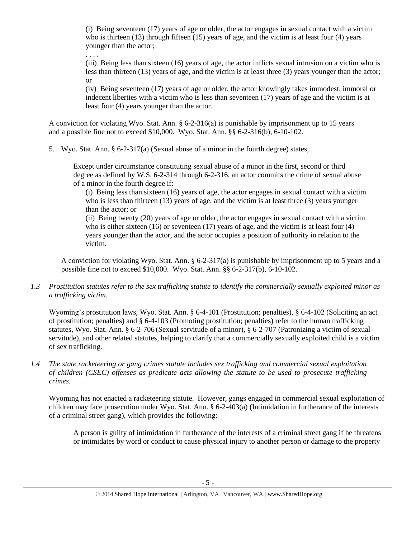(i) Being seventeen (17) years of age or older, the actor engages in sexual contact with a victim who is thirteen (13) through fifteen (15) years of age, and the victim is at least four (4) years younger than the actor;

. . . .

(iii) Being less than sixteen (16) years of age, the actor inflicts sexual intrusion on a victim who is less than thirteen (13) years of age, and the victim is at least three (3) years younger than the actor; or

(iv) Being seventeen (17) years of age or older, the actor knowingly takes immodest, immoral or indecent liberties with a victim who is less than seventeen (17) years of age and the victim is at least four (4) years younger than the actor.

A conviction for violating Wyo. Stat. Ann. § 6-2-316(a) is punishable by imprisonment up to 15 years and a possible fine not to exceed \$10,000. Wyo. Stat. Ann. §§ 6-2-316(b), 6-10-102.

5. Wyo. Stat. Ann. § 6-2-317(a) (Sexual abuse of a minor in the fourth degree) states,

Except under circumstance constituting sexual abuse of a minor in the first, second or third degree as defined by W.S. 6-2-314 through 6-2-316, an actor commits the crime of sexual abuse of a minor in the fourth degree if:

(i) Being less than sixteen (16) years of age, the actor engages in sexual contact with a victim who is less than thirteen (13) years of age, and the victim is at least three (3) years younger than the actor; or

(ii) Being twenty (20) years of age or older, the actor engages in sexual contact with a victim who is either sixteen  $(16)$  or seventeen  $(17)$  years of age, and the victim is at least four  $(4)$ years younger than the actor, and the actor occupies a position of authority in relation to the victim.

A conviction for violating Wyo. Stat. Ann. § 6-2-317(a) is punishable by imprisonment up to 5 years and a possible fine not to exceed \$10,000. Wyo. Stat. Ann. §§ 6-2-317(b), 6-10-102.

*1.3 Prostitution statutes refer to the sex trafficking statute to identify the commercially sexually exploited minor as a trafficking victim.* 

Wyoming's prostitution laws, Wyo. Stat. Ann. § 6-4-101 (Prostitution; penalties), § 6-4-102 (Soliciting an act of prostitution; penalties) and § 6-4-103 (Promoting prostitution; penalties) refer to the human trafficking statutes, Wyo. Stat. Ann. § 6-2-706 (Sexual servitude of a minor), § 6-2-707 (Patronizing a victim of sexual servitude), and other related statutes, helping to clarify that a commercially sexually exploited child is a victim of sex trafficking.

*1.4 The state racketeering or gang crimes statute includes sex trafficking and commercial sexual exploitation of children (CSEC) offenses as predicate acts allowing the statute to be used to prosecute trafficking crimes.* 

Wyoming has not enacted a racketeering statute. However, gangs engaged in commercial sexual exploitation of children may face prosecution under Wyo. Stat. Ann. § 6-2-403(a) (Intimidation in furtherance of the interests of a criminal street gang), which provides the following:

A person is guilty of intimidation in furtherance of the interests of a criminal street gang if he threatens or intimidates by word or conduct to cause physical injury to another person or damage to the property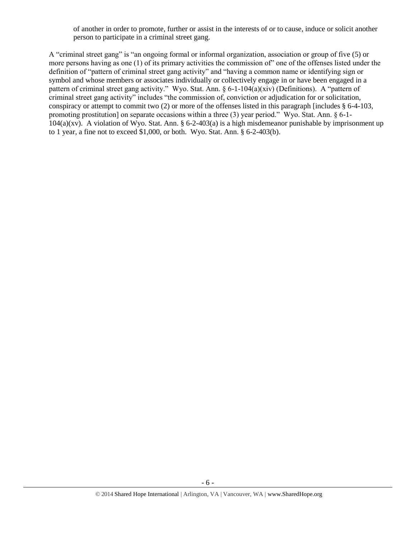of another in order to promote, further or assist in the interests of or to cause, induce or solicit another person to participate in a criminal street gang.

A "criminal street gang" is "an ongoing formal or informal organization, association or group of five (5) or more persons having as one (1) of its primary activities the commission of" one of the offenses listed under the definition of "pattern of criminal street gang activity" and "having a common name or identifying sign or symbol and whose members or associates individually or collectively engage in or have been engaged in a pattern of criminal street gang activity." Wyo. Stat. Ann. § 6-1-104(a)(xiv) (Definitions). A "pattern of criminal street gang activity" includes "the commission of, conviction or adjudication for or solicitation, conspiracy or attempt to commit two  $(2)$  or more of the offenses listed in this paragraph [includes  $\S 6-4-103$ , promoting prostitution] on separate occasions within a three (3) year period." Wyo. Stat. Ann. § 6-1-  $104(a)(xy)$ . A violation of Wyo. Stat. Ann. § 6-2-403(a) is a high misdemeanor punishable by imprisonment up to 1 year, a fine not to exceed \$1,000, or both. Wyo. Stat. Ann. § 6-2-403(b).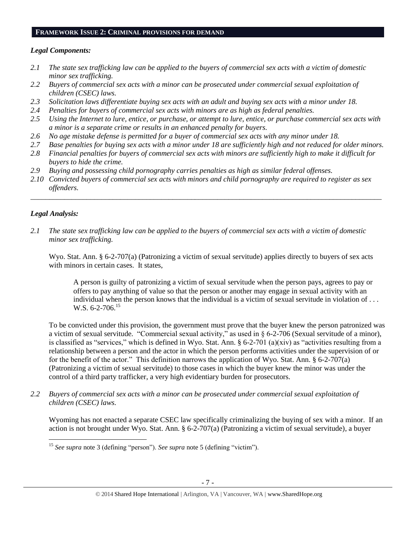#### **FRAMEWORK ISSUE 2: CRIMINAL PROVISIONS FOR DEMAND**

#### *Legal Components:*

- *2.1 The state sex trafficking law can be applied to the buyers of commercial sex acts with a victim of domestic minor sex trafficking.*
- *2.2 Buyers of commercial sex acts with a minor can be prosecuted under commercial sexual exploitation of children (CSEC) laws.*
- *2.3 Solicitation laws differentiate buying sex acts with an adult and buying sex acts with a minor under 18.*
- *2.4 Penalties for buyers of commercial sex acts with minors are as high as federal penalties.*
- *2.5 Using the Internet to lure, entice, or purchase, or attempt to lure, entice, or purchase commercial sex acts with a minor is a separate crime or results in an enhanced penalty for buyers.*
- *2.6 No age mistake defense is permitted for a buyer of commercial sex acts with any minor under 18.*
- *2.7 Base penalties for buying sex acts with a minor under 18 are sufficiently high and not reduced for older minors.*
- *2.8 Financial penalties for buyers of commercial sex acts with minors are sufficiently high to make it difficult for buyers to hide the crime.*
- *2.9 Buying and possessing child pornography carries penalties as high as similar federal offenses.*
- *2.10 Convicted buyers of commercial sex acts with minors and child pornography are required to register as sex offenders.*

\_\_\_\_\_\_\_\_\_\_\_\_\_\_\_\_\_\_\_\_\_\_\_\_\_\_\_\_\_\_\_\_\_\_\_\_\_\_\_\_\_\_\_\_\_\_\_\_\_\_\_\_\_\_\_\_\_\_\_\_\_\_\_\_\_\_\_\_\_\_\_\_\_\_\_\_\_\_\_\_\_\_\_\_\_\_\_\_\_\_\_\_\_\_

# *Legal Analysis:*

 $\overline{\phantom{a}}$ 

*2.1 The state sex trafficking law can be applied to the buyers of commercial sex acts with a victim of domestic minor sex trafficking.*

Wyo. Stat. Ann. § 6-2-707(a) (Patronizing a victim of sexual servitude) applies directly to buyers of sex acts with minors in certain cases. It states,

A person is guilty of patronizing a victim of sexual servitude when the person pays, agrees to pay or offers to pay anything of value so that the person or another may engage in sexual activity with an individual when the person knows that the individual is a victim of sexual servitude in violation of . . . W.S. 6-2-706.<sup>15</sup>

To be convicted under this provision, the government must prove that the buyer knew the person patronized was a victim of sexual servitude. "Commercial sexual activity," as used in § 6-2-706 (Sexual servitude of a minor), is classified as "services," which is defined in Wyo. Stat. Ann.  $\S 6-2-701$  (a)(xiv) as "activities resulting from a relationship between a person and the actor in which the person performs activities under the supervision of or for the benefit of the actor." This definition narrows the application of Wyo. Stat. Ann. § 6-2-707(a) (Patronizing a victim of sexual servitude) to those cases in which the buyer knew the minor was under the control of a third party trafficker, a very high evidentiary burden for prosecutors.

*2.2 Buyers of commercial sex acts with a minor can be prosecuted under commercial sexual exploitation of children (CSEC) laws.*

Wyoming has not enacted a separate CSEC law specifically criminalizing the buying of sex with a minor. If an action is not brought under Wyo. Stat. Ann. § 6-2-707(a) (Patronizing a victim of sexual servitude), a buyer

<sup>15</sup> *See supra* note [3](#page-1-0) (defining "person"). *See supra* note [5](#page-1-1) (defining "victim").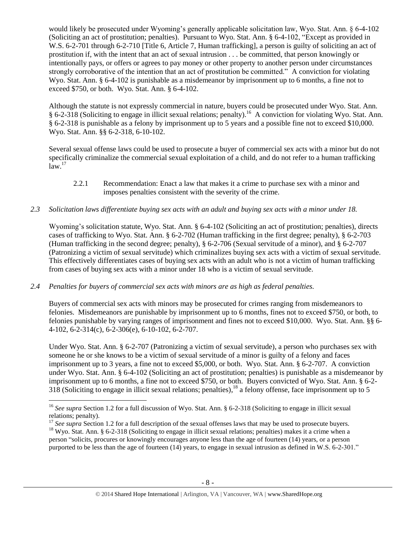would likely be prosecuted under Wyoming's generally applicable solicitation law, Wyo. Stat. Ann. § 6-4-102 (Soliciting an act of prostitution; penalties). Pursuant to Wyo. Stat. Ann. § 6-4-102, "Except as provided in W.S. 6-2-701 through 6-2-710 [Title 6, Article 7, Human trafficking], a person is guilty of soliciting an act of prostitution if, with the intent that an act of sexual intrusion . . . be committed, that person knowingly or intentionally pays, or offers or agrees to pay money or other property to another person under circumstances strongly corroborative of the intention that an act of prostitution be committed." A conviction for violating Wyo. Stat. Ann. § 6-4-102 is punishable as a misdemeanor by imprisonment up to 6 months, a fine not to exceed \$750, or both. Wyo. Stat. Ann. § 6-4-102.

Although the statute is not expressly commercial in nature, buyers could be prosecuted under Wyo. Stat. Ann. § 6-2-318 (Soliciting to engage in illicit sexual relations; penalty).<sup>16</sup> A conviction for violating Wyo. Stat. Ann. § 6-2-318 is punishable as a felony by imprisonment up to 5 years and a possible fine not to exceed \$10,000. Wyo. Stat. Ann. §§ 6-2-318, 6-10-102.

Several sexual offense laws could be used to prosecute a buyer of commercial sex acts with a minor but do not specifically criminalize the commercial sexual exploitation of a child, and do not refer to a human trafficking  $law.<sup>17</sup>$ 

- 2.2.1 Recommendation: Enact a law that makes it a crime to purchase sex with a minor and imposes penalties consistent with the severity of the crime.
- *2.3 Solicitation laws differentiate buying sex acts with an adult and buying sex acts with a minor under 18.*

Wyoming's solicitation statute, Wyo. Stat. Ann. § 6-4-102 (Soliciting an act of prostitution; penalties), directs cases of trafficking to Wyo. Stat. Ann. § 6-2-702 (Human trafficking in the first degree; penalty), § 6-2-703 (Human trafficking in the second degree; penalty), § 6-2-706 (Sexual servitude of a minor), and § 6-2-707 (Patronizing a victim of sexual servitude) which criminalizes buying sex acts with a victim of sexual servitude. This effectively differentiates cases of buying sex acts with an adult who is not a victim of human trafficking from cases of buying sex acts with a minor under 18 who is a victim of sexual servitude.

# *2.4 Penalties for buyers of commercial sex acts with minors are as high as federal penalties.*

 $\overline{a}$ 

Buyers of commercial sex acts with minors may be prosecuted for crimes ranging from misdemeanors to felonies. Misdemeanors are punishable by imprisonment up to 6 months, fines not to exceed \$750, or both, to felonies punishable by varying ranges of imprisonment and fines not to exceed \$10,000. Wyo. Stat. Ann. §§ 6- 4-102, 6-2-314(c), 6-2-306(e), 6-10-102, 6-2-707.

Under Wyo. Stat. Ann. § 6-2-707 (Patronizing a victim of sexual servitude), a person who purchases sex with someone he or she knows to be a victim of sexual servitude of a minor is guilty of a felony and faces imprisonment up to 3 years, a fine not to exceed \$5,000, or both. Wyo. Stat. Ann. § 6-2-707. A conviction under Wyo. Stat. Ann. § 6-4-102 (Soliciting an act of prostitution; penalties) is punishable as a misdemeanor by imprisonment up to 6 months, a fine not to exceed \$750, or both. Buyers convicted of Wyo. Stat. Ann. § 6-2- 318 (Soliciting to engage in illicit sexual relations; penalties),  $^{18}$  a felony offense, face imprisonment up to 5

<sup>16</sup> *See supra* Section 1.2 for a full discussion of Wyo. Stat. Ann. § 6-2-318 (Soliciting to engage in illicit sexual relations; penalty).

<sup>&</sup>lt;sup>17</sup> See supra Section 1.2 for a full description of the sexual offenses laws that may be used to prosecute buyers. <sup>18</sup> Wyo. Stat. Ann. § 6-2-318 (Soliciting to engage in illicit sexual relations; penalties) makes it a crime when a person "solicits, procures or knowingly encourages anyone less than the age of fourteen (14) years, or a person

purported to be less than the age of fourteen (14) years, to engage in sexual intrusion as defined in W.S. 6-2-301."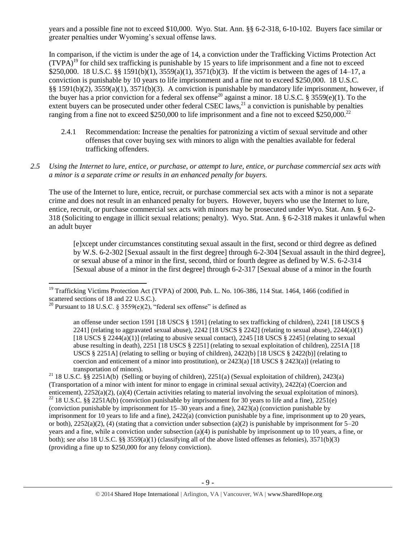years and a possible fine not to exceed \$10,000. Wyo. Stat. Ann. §§ 6-2-318, 6-10-102. Buyers face similar or greater penalties under Wyoming's sexual offense laws.

<span id="page-8-0"></span>In comparison, if the victim is under the age of 14, a conviction under the Trafficking Victims Protection Act  $(TVPA)^{19}$  for child sex trafficking is punishable by 15 years to life imprisonment and a fine not to exceed \$250,000. 18 U.S.C. §§ 1591(b)(1), 3559(a)(1), 3571(b)(3). If the victim is between the ages of 14–17, a conviction is punishable by 10 years to life imprisonment and a fine not to exceed \$250,000. 18 U.S.C. §§ 1591(b)(2), 3559(a)(1), 3571(b)(3). A conviction is punishable by mandatory life imprisonment, however, if the buyer has a prior conviction for a federal sex offense<sup>20</sup> against a minor. 18 U.S.C. § 3559(e)(1). To the extent buyers can be prosecuted under other federal CSEC laws,<sup>21</sup> a conviction is punishable by penalties ranging from a fine not to exceed \$250,000 to life imprisonment and a fine not to exceed \$250,000.<sup>22</sup>

- <span id="page-8-1"></span>2.4.1 Recommendation: Increase the penalties for patronizing a victim of sexual servitude and other offenses that cover buying sex with minors to align with the penalties available for federal trafficking offenders.
- *2.5 Using the Internet to lure, entice, or purchase, or attempt to lure, entice, or purchase commercial sex acts with a minor is a separate crime or results in an enhanced penalty for buyers.*

The use of the Internet to lure, entice, recruit, or purchase commercial sex acts with a minor is not a separate crime and does not result in an enhanced penalty for buyers. However, buyers who use the Internet to lure, entice, recruit, or purchase commercial sex acts with minors may be prosecuted under Wyo. Stat. Ann. § 6-2- 318 (Soliciting to engage in illicit sexual relations; penalty). Wyo. Stat. Ann. § 6-2-318 makes it unlawful when an adult buyer

[e]xcept under circumstances constituting sexual assault in the first, second or third degree as defined by W.S. 6-2-302 [Sexual assault in the first degree] through 6-2-304 [Sexual assault in the third degree], or sexual abuse of a minor in the first, second, third or fourth degree as defined by W.S. 6-2-314 [Sexual abuse of a minor in the first degree] through 6-2-317 [Sexual abuse of a minor in the fourth

 $\overline{\phantom{a}}$ <sup>19</sup> Trafficking Victims Protection Act (TVPA) of 2000, Pub. L. No. 106-386, 114 Stat. 1464, 1466 (codified in scattered sections of 18 and 22 U.S.C.).

<sup>&</sup>lt;sup>20</sup> Pursuant to 18 U.S.C. § 3559 $(e)(2)$ , "federal sex offense" is defined as

an offense under section 1591 [18 USCS § 1591] (relating to sex trafficking of children), 2241 [18 USCS § 2241] (relating to aggravated sexual abuse), 2242 [18 USCS  $\S$  2242] (relating to sexual abuse), 2244(a)(1) [18 USCS § 2244(a)(1)] (relating to abusive sexual contact), 2245 [18 USCS § 2245] (relating to sexual abuse resulting in death), 2251 [18 USCS § 2251] (relating to sexual exploitation of children), 2251A [18 USCS § 2251A] (relating to selling or buying of children), 2422(b) [18 USCS § 2422(b)] (relating to coercion and enticement of a minor into prostitution), or  $2423(a)$  [18 USCS §  $2423(a)$ ] (relating to transportation of minors).

<sup>&</sup>lt;sup>21</sup> 18 U.S.C. §§ 2251A(b) (Selling or buying of children), 2251(a) (Sexual exploitation of children), 2423(a) (Transportation of a minor with intent for minor to engage in criminal sexual activity), 2422(a) (Coercion and enticement), 2252(a)(2), (a)(4) (Certain activities relating to material involving the sexual exploitation of minors).  $^{22}$  18 U.S.C. §§ 2251A(b) (conviction punishable by imprisonment for 30 years to life and a fine), 2251(e) (conviction punishable by imprisonment for 15–30 years and a fine), 2423(a) (conviction punishable by imprisonment for 10 years to life and a fine), 2422(a) (conviction punishable by a fine, imprisonment up to 20 years, or both),  $2252(a)(2)$ , (4) (stating that a conviction under subsection (a)(2) is punishable by imprisonment for 5–20 years and a fine, while a conviction under subsection (a)(4) is punishable by imprisonment up to 10 years, a fine, or both); *see also* 18 U.S.C. §§ 3559(a)(1) (classifying all of the above listed offenses as felonies), 3571(b)(3)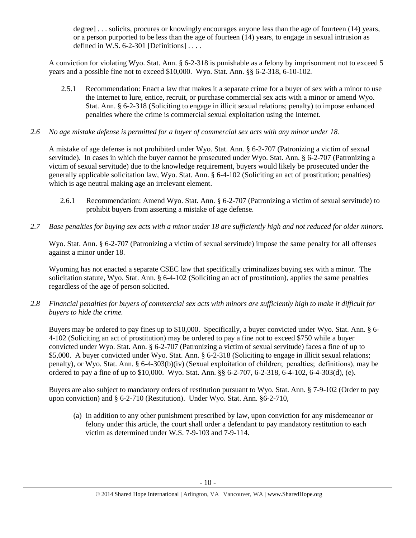degree] . . . solicits, procures or knowingly encourages anyone less than the age of fourteen (14) years, or a person purported to be less than the age of fourteen (14) years, to engage in sexual intrusion as defined in W.S.  $6-2-301$  [Definitions] ...

A conviction for violating Wyo. Stat. Ann. § 6-2-318 is punishable as a felony by imprisonment not to exceed 5 years and a possible fine not to exceed \$10,000. Wyo. Stat. Ann. §§ 6-2-318, 6-10-102.

- 2.5.1 Recommendation: Enact a law that makes it a separate crime for a buyer of sex with a minor to use the Internet to lure, entice, recruit, or purchase commercial sex acts with a minor or amend Wyo. Stat. Ann. § 6-2-318 (Soliciting to engage in illicit sexual relations; penalty) to impose enhanced penalties where the crime is commercial sexual exploitation using the Internet.
- *2.6 No age mistake defense is permitted for a buyer of commercial sex acts with any minor under 18.*

A mistake of age defense is not prohibited under Wyo. Stat. Ann. § 6-2-707 (Patronizing a victim of sexual servitude). In cases in which the buyer cannot be prosecuted under Wyo. Stat. Ann. § 6-2-707 (Patronizing a victim of sexual servitude) due to the knowledge requirement, buyers would likely be prosecuted under the generally applicable solicitation law, Wyo. Stat. Ann. § 6-4-102 (Soliciting an act of prostitution; penalties) which is age neutral making age an irrelevant element.

- 2.6.1 Recommendation: Amend Wyo. Stat. Ann. § 6-2-707 (Patronizing a victim of sexual servitude) to prohibit buyers from asserting a mistake of age defense.
- *2.7 Base penalties for buying sex acts with a minor under 18 are sufficiently high and not reduced for older minors.*

Wyo. Stat. Ann. § 6-2-707 (Patronizing a victim of sexual servitude) impose the same penalty for all offenses against a minor under 18.

Wyoming has not enacted a separate CSEC law that specifically criminalizes buying sex with a minor. The solicitation statute, Wyo. Stat. Ann. § 6-4-102 (Soliciting an act of prostitution), applies the same penalties regardless of the age of person solicited.

*2.8 Financial penalties for buyers of commercial sex acts with minors are sufficiently high to make it difficult for buyers to hide the crime.* 

Buyers may be ordered to pay fines up to \$10,000. Specifically, a buyer convicted under Wyo. Stat. Ann. § 6- 4-102 (Soliciting an act of prostitution) may be ordered to pay a fine not to exceed \$750 while a buyer convicted under Wyo. Stat. Ann. § 6-2-707 (Patronizing a victim of sexual servitude) faces a fine of up to \$5,000. A buyer convicted under Wyo. Stat. Ann. § 6-2-318 (Soliciting to engage in illicit sexual relations; penalty), or Wyo. Stat. Ann. § 6-4-303(b)(iv) (Sexual exploitation of children;  penalties;  definitions), may be ordered to pay a fine of up to \$10,000. Wyo. Stat. Ann. §§ 6-2-707, 6-2-318, 6-4-102, 6-4-303(d), (e).

Buyers are also subject to mandatory orders of restitution pursuant to Wyo. Stat. Ann. § 7-9-102 (Order to pay upon conviction) and § 6-2-710 (Restitution). Under Wyo. Stat. Ann. §6-2-710,

(a) In addition to any other punishment prescribed by law, upon conviction for any misdemeanor or felony under this article, the court shall order a defendant to pay mandatory restitution to each victim as determined under W.S. 7-9-103 and 7-9-114.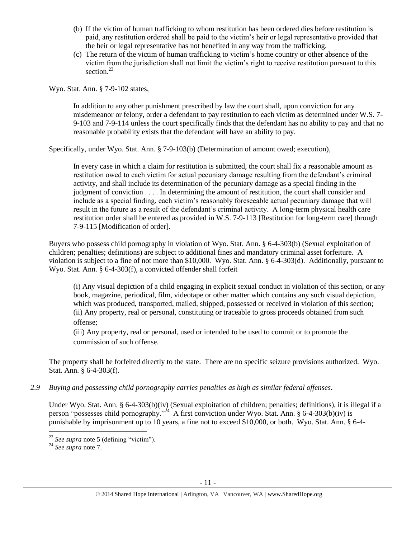- (b) If the victim of human trafficking to whom restitution has been ordered dies before restitution is paid, any restitution ordered shall be paid to the victim's heir or legal representative provided that the heir or legal representative has not benefited in any way from the trafficking.
- (c) The return of the victim of human trafficking to victim's home country or other absence of the victim from the jurisdiction shall not limit the victim's right to receive restitution pursuant to this section.<sup>23</sup>

Wyo. Stat. Ann. § 7-9-102 states,

In addition to any other punishment prescribed by law the court shall, upon conviction for any misdemeanor or felony, order a defendant to pay restitution to each victim as determined under W.S. 7- 9-103 and 7-9-114 unless the court specifically finds that the defendant has no ability to pay and that no reasonable probability exists that the defendant will have an ability to pay.

Specifically, under Wyo. Stat. Ann. § 7-9-103(b) (Determination of amount owed; execution),

In every case in which a claim for restitution is submitted, the court shall fix a reasonable amount as restitution owed to each victim for actual pecuniary damage resulting from the defendant's criminal activity, and shall include its determination of the pecuniary damage as a special finding in the judgment of conviction . . . . In determining the amount of restitution, the court shall consider and include as a special finding, each victim's reasonably foreseeable actual pecuniary damage that will result in the future as a result of the defendant's criminal activity. A long-term physical health care restitution order shall be entered as provided in W.S. 7-9-113 [Restitution for long-term care] through 7-9-115 [Modification of order].

Buyers who possess child pornography in violation of Wyo. Stat. Ann. § 6-4-303(b) (Sexual exploitation of children; penalties; definitions) are subject to additional fines and mandatory criminal asset forfeiture. A violation is subject to a fine of not more than \$10,000. Wyo. Stat. Ann. § 6-4-303(d). Additionally, pursuant to Wyo. Stat. Ann. § 6-4-303(f), a convicted offender shall forfeit

(i) Any visual depiction of a child engaging in explicit sexual conduct in violation of this section, or any book, magazine, periodical, film, videotape or other matter which contains any such visual depiction, which was produced, transported, mailed, shipped, possessed or received in violation of this section; (ii) Any property, real or personal, constituting or traceable to gross proceeds obtained from such offense;

(iii) Any property, real or personal, used or intended to be used to commit or to promote the commission of such offense.

The property shall be forfeited directly to the state. There are no specific seizure provisions authorized. Wyo. Stat. Ann. § 6-4-303(f).

*2.9 Buying and possessing child pornography carries penalties as high as similar federal offenses.*

Under Wyo. Stat. Ann. § 6-4-303(b)(iv) (Sexual exploitation of children; penalties; definitions), it is illegal if a person "possesses child pornography."<sup>24</sup> A first conviction under Wyo. Stat. Ann. § 6-4-303(b)(iv) is punishable by imprisonment up to 10 years, a fine not to exceed \$10,000, or both. Wyo. Stat. Ann. § 6-4-

 $\overline{\phantom{a}}$ 

<sup>23</sup> *See supra* note [5](#page-1-1) (defining "victim").

<sup>24</sup> *See supra* note [7.](#page-1-2)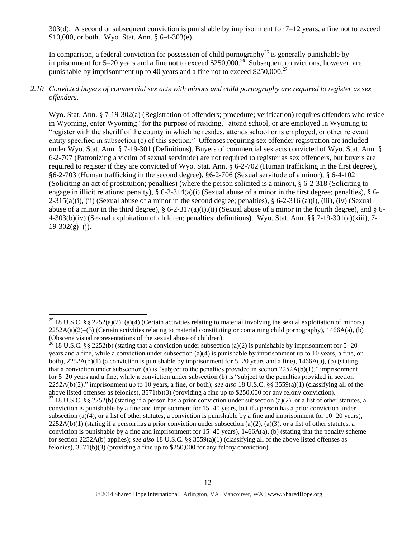303(d). A second or subsequent conviction is punishable by imprisonment for  $7-12$  years, a fine not to exceed \$10,000, or both. Wyo. Stat. Ann. § 6-4-303(e).

In comparison, a federal conviction for possession of child pornography<sup>25</sup> is generally punishable by imprisonment for 5–20 years and a fine not to exceed \$250,000.<sup>26</sup> Subsequent convictions, however, are punishable by imprisonment up to 40 years and a fine not to exceed  $$250,000.<sup>27</sup>$ 

#### *2.10 Convicted buyers of commercial sex acts with minors and child pornography are required to register as sex offenders.*

Wyo. Stat. Ann. § 7-19-302(a) (Registration of offenders; procedure; verification) requires offenders who reside in Wyoming, enter Wyoming "for the purpose of residing," attend school, or are employed in Wyoming to "register with the sheriff of the county in which he resides, attends school or is employed, or other relevant entity specified in subsection (c) of this section." Offenses requiring sex offender registration are included under Wyo. Stat. Ann. § 7-19-301 (Definitions). Buyers of commercial sex acts convicted of Wyo. Stat. Ann. § 6-2-707 (Patronizing a victim of sexual servitude) are not required to register as sex offenders, but buyers are required to register if they are convicted of Wyo. Stat. Ann. § 6-2-702 (Human trafficking in the first degree), §6-2-703 (Human trafficking in the second degree), §6-2-706 (Sexual servitude of a minor), § 6-4-102 (Soliciting an act of prostitution; penalties) (where the person solicited is a minor), § 6-2-318 (Soliciting to engage in illicit relations; penalty), § 6-2-314(a)(i) (Sexual abuse of a minor in the first degree; penalties), § 6-  $2-315(a)(i)$ , (ii) (Sexual abuse of a minor in the second degree; penalties), § 6-2-316 (a)(i), (iii), (iv) (Sexual abuse of a minor in the third degree),  $\S 6$ -2-317(a)(i),(ii) (Sexual abuse of a minor in the fourth degree), and  $\S 6$ -4-303(b)(iv) (Sexual exploitation of children; penalties; definitions). Wyo. Stat. Ann. §§ 7-19-301(a)(xiii), 7-  $19-302(g)$ –(j).

 $\overline{\phantom{a}}$ 

<sup>&</sup>lt;sup>25</sup> 18 U.S.C. §§ 2252(a)(2), (a)(4) (Certain activities relating to material involving the sexual exploitation of minors),  $2252A(a)(2)$ –(3) (Certain activities relating to material constituting or containing child pornography), 1466A(a), (b) (Obscene visual representations of the sexual abuse of children).

<sup>&</sup>lt;sup>26</sup> 18 U.S.C. §§ 2252(b) (stating that a conviction under subsection (a)(2) is punishable by imprisonment for 5–20 years and a fine, while a conviction under subsection (a)(4) is punishable by imprisonment up to 10 years, a fine, or both),  $2252A(b)(1)$  (a conviction is punishable by imprisonment for  $5-20$  years and a fine),  $1466A(a)$ , (b) (stating that a conviction under subsection (a) is "subject to the penalties provided in section  $2252A(b)(1)$ ," imprisonment for 5–20 years and a fine, while a conviction under subsection (b) is "subject to the penalties provided in section 2252A(b)(2)," imprisonment up to 10 years, a fine, or both); *see also* 18 U.S.C. §§ 3559(a)(1) (classifying all of the above listed offenses as felonies), 3571(b)(3) (providing a fine up to \$250,000 for any felony conviction).

<sup>&</sup>lt;sup>27</sup> 18 U.S.C. §§ 2252(b) (stating if a person has a prior conviction under subsection (a)(2), or a list of other statutes, a conviction is punishable by a fine and imprisonment for 15–40 years, but if a person has a prior conviction under subsection (a)(4), or a list of other statutes, a conviction is punishable by a fine and imprisonment for  $10-20$  years),  $2252A(b)(1)$  (stating if a person has a prior conviction under subsection (a)(2), (a)(3), or a list of other statutes, a conviction is punishable by a fine and imprisonment for  $15-40$  years),  $1466A(a)$ , (b) (stating that the penalty scheme for section 2252A(b) applies); *see also* 18 U.S.C. §§ 3559(a)(1) (classifying all of the above listed offenses as felonies), 3571(b)(3) (providing a fine up to \$250,000 for any felony conviction).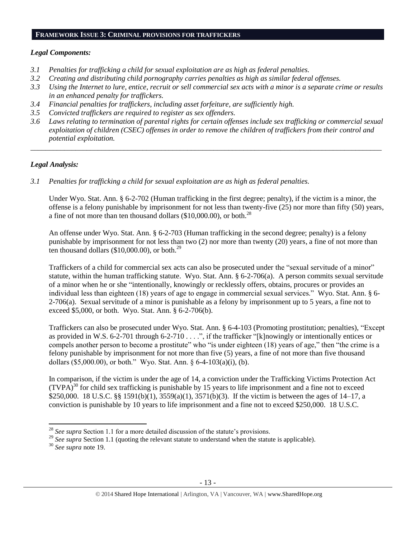#### **FRAMEWORK ISSUE 3: CRIMINAL PROVISIONS FOR TRAFFICKERS**

#### *Legal Components:*

- *3.1 Penalties for trafficking a child for sexual exploitation are as high as federal penalties.*
- *3.2 Creating and distributing child pornography carries penalties as high as similar federal offenses.*
- *3.3 Using the Internet to lure, entice, recruit or sell commercial sex acts with a minor is a separate crime or results in an enhanced penalty for traffickers.*
- *3.4 Financial penalties for traffickers, including asset forfeiture, are sufficiently high.*
- *3.5 Convicted traffickers are required to register as sex offenders.*
- *3.6 Laws relating to termination of parental rights for certain offenses include sex trafficking or commercial sexual exploitation of children (CSEC) offenses in order to remove the children of traffickers from their control and potential exploitation.*

*\_\_\_\_\_\_\_\_\_\_\_\_\_\_\_\_\_\_\_\_\_\_\_\_\_\_\_\_\_\_\_\_\_\_\_\_\_\_\_\_\_\_\_\_\_\_\_\_\_\_\_\_\_\_\_\_\_\_\_\_\_\_\_\_\_\_\_\_\_\_\_\_\_\_\_\_\_\_\_\_\_\_\_\_\_\_\_\_\_\_\_\_\_\_*

# *Legal Analysis:*

*3.1 Penalties for trafficking a child for sexual exploitation are as high as federal penalties.* 

Under Wyo. Stat. Ann. § 6-2-702 (Human trafficking in the first degree; penalty), if the victim is a minor, the offense is a felony punishable by imprisonment for not less than twenty-five (25) nor more than fifty (50) years, a fine of not more than ten thousand dollars (\$10,000.00), or both.<sup>28</sup>

An offense under Wyo. Stat. Ann. § 6-2-703 (Human trafficking in the second degree; penalty) is a felony punishable by imprisonment for not less than two (2) nor more than twenty (20) years, a fine of not more than ten thousand dollars (\$10,000.00), or both.<sup>29</sup>

Traffickers of a child for commercial sex acts can also be prosecuted under the "sexual servitude of a minor" statute, within the human trafficking statute. Wyo. Stat. Ann. § 6-2-706(a). A person commits sexual servitude of a minor when he or she "intentionally, knowingly or recklessly offers, obtains, procures or provides an individual less than eighteen (18) years of age to engage in commercial sexual services." Wyo. Stat. Ann. § 6- 2-706(a). Sexual servitude of a minor is punishable as a felony by imprisonment up to 5 years, a fine not to exceed \$5,000, or both. Wyo. Stat. Ann. § 6-2-706(b).

Traffickers can also be prosecuted under Wyo. Stat. Ann. § 6-4-103 (Promoting prostitution; penalties), "Except as provided in W.S. 6-2-701 through 6-2-710 . . . .", if the trafficker "[k]nowingly or intentionally entices or compels another person to become a prostitute" who "is under eighteen (18) years of age," then "the crime is a felony punishable by imprisonment for not more than five (5) years, a fine of not more than five thousand dollars (\$5,000.00), or both." Wyo. Stat. Ann. § 6-4-103(a)(i), (b).

In comparison, if the victim is under the age of 14, a conviction under the Trafficking Victims Protection Act  $(TVPA)<sup>30</sup>$  for child sex trafficking is punishable by 15 years to life imprisonment and a fine not to exceed \$250,000. 18 U.S.C. §§ 1591(b)(1), 3559(a)(1), 3571(b)(3). If the victim is between the ages of 14–17, a conviction is punishable by 10 years to life imprisonment and a fine not to exceed \$250,000. 18 U.S.C.

 $\overline{a}$ <sup>28</sup> *See supra* Section 1.1 for a more detailed discussion of the statute's provisions.

<sup>&</sup>lt;sup>29</sup> See supra Section 1.1 (quoting the relevant statute to understand when the statute is applicable).

<sup>30</sup> *See supra* note [19.](#page-8-0)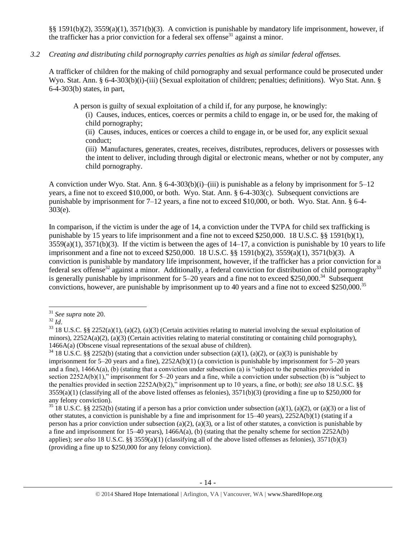§§ 1591(b)(2), 3559(a)(1), 3571(b)(3). A conviction is punishable by mandatory life imprisonment, however, if the trafficker has a prior conviction for a federal sex offense<sup>31</sup> against a minor.

#### *3.2 Creating and distributing child pornography carries penalties as high as similar federal offenses.*

A trafficker of children for the making of child pornography and sexual performance could be prosecuted under Wyo. Stat. Ann. § 6-4-303(b)(i)-(iii) (Sexual exploitation of children; penalties; definitions). Wyo Stat. Ann. § 6-4-303(b) states, in part,

A person is guilty of sexual exploitation of a child if, for any purpose, he knowingly:

(i) Causes, induces, entices, coerces or permits a child to engage in, or be used for, the making of child pornography;

(ii) Causes, induces, entices or coerces a child to engage in, or be used for, any explicit sexual conduct;

(iii) Manufactures, generates, creates, receives, distributes, reproduces, delivers or possesses with the intent to deliver, including through digital or electronic means, whether or not by computer, any child pornography.

A conviction under Wyo. Stat. Ann. § 6-4-303(b)(i)–(iii) is punishable as a felony by imprisonment for  $5-12$ years, a fine not to exceed \$10,000, or both. Wyo. Stat. Ann. § 6-4-303(c). Subsequent convictions are punishable by imprisonment for 7–12 years, a fine not to exceed \$10,000, or both. Wyo. Stat. Ann. § 6-4- 303(e).

In comparison, if the victim is under the age of 14, a conviction under the TVPA for child sex trafficking is punishable by 15 years to life imprisonment and a fine not to exceed \$250,000. 18 U.S.C. §§ 1591(b)(1),  $3559(a)(1)$ ,  $3571(b)(3)$ . If the victim is between the ages of  $14-17$ , a conviction is punishable by 10 years to life imprisonment and a fine not to exceed \$250,000. 18 U.S.C. §§ 1591(b)(2), 3559(a)(1), 3571(b)(3). A conviction is punishable by mandatory life imprisonment, however, if the trafficker has a prior conviction for a federal sex offense<sup>32</sup> against a minor. Additionally, a federal conviction for distribution of child pornography<sup>33</sup> is generally punishable by imprisonment for 5–20 years and a fine not to exceed \$250,000.<sup>34</sup> Subsequent convictions, however, are punishable by imprisonment up to 40 years and a fine not to exceed \$250,000.<sup>35</sup>

 $\overline{a}$ <sup>31</sup> *See supra* note [20.](#page-8-1)

<sup>32</sup> *Id*.

 $33$  18 U.S.C. §§ 2252(a)(1), (a)(2), (a)(3) (Certain activities relating to material involving the sexual exploitation of minors),  $2252A(a)(2)$ , (a)(3) (Certain activities relating to material constituting or containing child pornography), 1466A(a) (Obscene visual representations of the sexual abuse of children).

<sup>&</sup>lt;sup>34</sup> 18 U.S.C. §§ 2252(b) (stating that a conviction under subsection (a)(1), (a)(2), or (a)(3) is punishable by imprisonment for 5–20 years and a fine), 2252A(b)(1) (a conviction is punishable by imprisonment for 5–20 years and a fine), 1466A(a), (b) (stating that a conviction under subsection (a) is "subject to the penalties provided in section 2252A(b)(1)," imprisonment for 5–20 years and a fine, while a conviction under subsection (b) is "subject to the penalties provided in section 2252A(b)(2)," imprisonment up to 10 years, a fine, or both); *see also* 18 U.S.C. §§  $3559(a)(1)$  (classifying all of the above listed offenses as felonies),  $3571(b)(3)$  (providing a fine up to \$250,000 for any felony conviction).

<sup>&</sup>lt;sup>35</sup> 18 U.S.C. §§ 2252(b) (stating if a person has a prior conviction under subsection (a)(1), (a)(2), or (a)(3) or a list of other statutes, a conviction is punishable by a fine and imprisonment for 15–40 years), 2252A(b)(1) (stating if a person has a prior conviction under subsection (a)(2), (a)(3), or a list of other statutes, a conviction is punishable by a fine and imprisonment for 15–40 years), 1466A(a), (b) (stating that the penalty scheme for section 2252A(b) applies); *see also* 18 U.S.C. §§ 3559(a)(1) (classifying all of the above listed offenses as felonies), 3571(b)(3) (providing a fine up to \$250,000 for any felony conviction).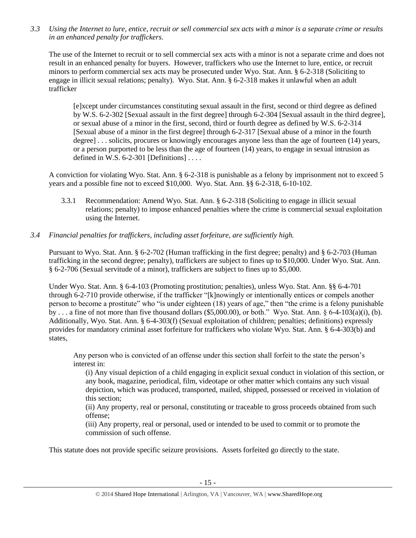*3.3 Using the Internet to lure, entice, recruit or sell commercial sex acts with a minor is a separate crime or results in an enhanced penalty for traffickers.*

The use of the Internet to recruit or to sell commercial sex acts with a minor is not a separate crime and does not result in an enhanced penalty for buyers. However, traffickers who use the Internet to lure, entice, or recruit minors to perform commercial sex acts may be prosecuted under Wyo. Stat. Ann. § 6-2-318 (Soliciting to engage in illicit sexual relations; penalty). Wyo. Stat. Ann. § 6-2-318 makes it unlawful when an adult trafficker

[e]xcept under circumstances constituting sexual assault in the first, second or third degree as defined by W.S. 6-2-302 [Sexual assault in the first degree] through 6-2-304 [Sexual assault in the third degree], or sexual abuse of a minor in the first, second, third or fourth degree as defined by W.S. 6-2-314 [Sexual abuse of a minor in the first degree] through 6-2-317 [Sexual abuse of a minor in the fourth degree] . . . solicits, procures or knowingly encourages anyone less than the age of fourteen (14) years, or a person purported to be less than the age of fourteen (14) years, to engage in sexual intrusion as defined in W.S.  $6-2-301$  [Definitions] ...

A conviction for violating Wyo. Stat. Ann. § 6-2-318 is punishable as a felony by imprisonment not to exceed 5 years and a possible fine not to exceed \$10,000. Wyo. Stat. Ann. §§ 6-2-318, 6-10-102.

3.3.1 Recommendation: Amend Wyo. Stat. Ann. § 6-2-318 (Soliciting to engage in illicit sexual relations; penalty) to impose enhanced penalties where the crime is commercial sexual exploitation using the Internet.

# *3.4 Financial penalties for traffickers, including asset forfeiture, are sufficiently high.*

Pursuant to Wyo. Stat. Ann. § 6-2-702 (Human trafficking in the first degree; penalty) and § 6-2-703 (Human trafficking in the second degree; penalty), traffickers are subject to fines up to \$10,000. Under Wyo. Stat. Ann. § 6-2-706 (Sexual servitude of a minor), traffickers are subject to fines up to \$5,000.

Under Wyo. Stat. Ann. § 6-4-103 (Promoting prostitution; penalties), unless Wyo. Stat. Ann. §§ 6-4-701 through 6-2-710 provide otherwise, if the trafficker "[k]nowingly or intentionally entices or compels another person to become a prostitute" who "is under eighteen (18) years of age," then "the crime is a felony punishable by . . . a fine of not more than five thousand dollars (\$5,000.00), or both." Wyo. Stat. Ann. § 6-4-103(a)(i), (b). Additionally, Wyo. Stat. Ann. § 6-4-303(f) (Sexual exploitation of children; penalties; definitions) expressly provides for mandatory criminal asset forfeiture for traffickers who violate Wyo. Stat. Ann. § 6-4-303(b) and states,

Any person who is convicted of an offense under this section shall forfeit to the state the person's interest in:

(i) Any visual depiction of a child engaging in explicit sexual conduct in violation of this section, or any book, magazine, periodical, film, videotape or other matter which contains any such visual depiction, which was produced, transported, mailed, shipped, possessed or received in violation of this section;

(ii) Any property, real or personal, constituting or traceable to gross proceeds obtained from such offense;

(iii) Any property, real or personal, used or intended to be used to commit or to promote the commission of such offense.

This statute does not provide specific seizure provisions. Assets forfeited go directly to the state.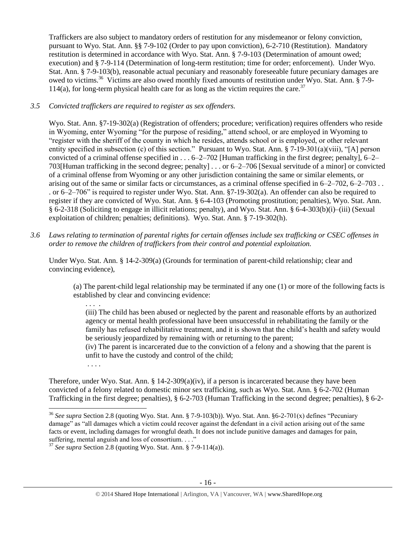Traffickers are also subject to mandatory orders of restitution for any misdemeanor or felony conviction, pursuant to Wyo. Stat. Ann. §§ 7-9-102 (Order to pay upon conviction), 6-2-710 (Restitution). Mandatory restitution is determined in accordance with Wyo. Stat. Ann. § 7-9-103 (Determination of amount owed; execution) and § 7-9-114 (Determination of long-term restitution; time for order; enforcement). Under Wyo. Stat. Ann. § 7-9-103(b), reasonable actual pecuniary and reasonably foreseeable future pecuniary damages are owed to victims.<sup>36</sup> Victims are also owed monthly fixed amounts of restitution under Wyo. Stat. Ann. § 7-9-114(a), for long-term physical health care for as long as the victim requires the care.<sup>37</sup>

# *3.5 Convicted traffickers are required to register as sex offenders.*

Wyo. Stat. Ann. §7-19-302(a) (Registration of offenders; procedure; verification) requires offenders who reside in Wyoming, enter Wyoming "for the purpose of residing," attend school, or are employed in Wyoming to "register with the sheriff of the county in which he resides, attends school or is employed, or other relevant entity specified in subsection (c) of this section." Pursuant to Wyo. Stat. Ann. § 7-19-301(a)(viii), "[A] person convicted of a criminal offense specified in  $\dots$  6–2–702 [Human trafficking in the first degree; penalty], 6–2– 703[Human trafficking in the second degree; penalty] . . . or 6–2–706 [Sexual servitude of a minor] or convicted of a criminal offense from Wyoming or any other jurisdiction containing the same or similar elements, or arising out of the same or similar facts or circumstances, as a criminal offense specified in 6–2–702, 6–2–703 . . . or 6–2–706" is required to register under Wyo. Stat. Ann. §7-19-302(a). An offender can also be required to register if they are convicted of Wyo. Stat. Ann. § 6-4-103 (Promoting prostitution; penalties), Wyo. Stat. Ann. § 6-2-318 (Soliciting to engage in illicit relations; penalty), and Wyo. Stat. Ann. § 6-4-303(b)(i)–(iii) (Sexual exploitation of children; penalties; definitions). Wyo. Stat. Ann. § 7-19-302(h).

*3.6 Laws relating to termination of parental rights for certain offenses include sex trafficking or CSEC offenses in order to remove the children of traffickers from their control and potential exploitation.*

Under Wyo. Stat. Ann. § 14-2-309(a) (Grounds for termination of parent-child relationship; clear and convincing evidence),

(a) The parent-child legal relationship may be terminated if any one (1) or more of the following facts is established by clear and convincing evidence:

. . . .

(iii) The child has been abused or neglected by the parent and reasonable efforts by an authorized agency or mental health professional have been unsuccessful in rehabilitating the family or the family has refused rehabilitative treatment, and it is shown that the child's health and safety would be seriously jeopardized by remaining with or returning to the parent;

(iv) The parent is incarcerated due to the conviction of a felony and a showing that the parent is unfit to have the custody and control of the child;

. . . .

 $\overline{\phantom{a}}$ 

Therefore, under Wyo. Stat. Ann. § 14-2-309(a)(iv), if a person is incarcerated because they have been convicted of a felony related to domestic minor sex trafficking, such as Wyo. Stat. Ann. § 6-2-702 (Human Trafficking in the first degree; penalties), § 6-2-703 (Human Trafficking in the second degree; penalties), § 6-2-

<sup>36</sup> *See supra* Section 2.8 (quoting Wyo. Stat. Ann. § 7-9-103(b)). Wyo. Stat. Ann. §6-2-701(x) defines "Pecuniary damage" as "all damages which a victim could recover against the defendant in a civil action arising out of the same facts or event, including damages for wrongful death. It does not include punitive damages and damages for pain, suffering, mental anguish and loss of consortium. . . ."

<sup>37</sup> *See supra* Section 2.8 (quoting Wyo. Stat. Ann. § 7-9-114(a)).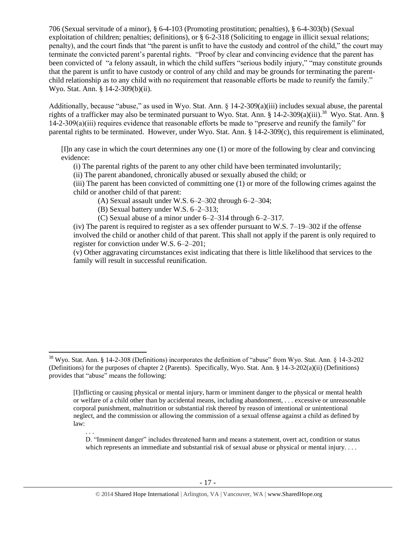706 (Sexual servitude of a minor), § 6-4-103 (Promoting prostitution; penalties), § 6-4-303(b) (Sexual exploitation of children; penalties; definitions), or § 6-2-318 (Soliciting to engage in illicit sexual relations; penalty), and the court finds that "the parent is unfit to have the custody and control of the child," the court may terminate the convicted parent's parental rights. "Proof by clear and convincing evidence that the parent has been convicted of "a felony assault, in which the child suffers "serious bodily injury," "may constitute grounds that the parent is unfit to have custody or control of any child and may be grounds for terminating the parentchild relationship as to any child with no requirement that reasonable efforts be made to reunify the family." Wyo. Stat. Ann. § 14-2-309(b)(ii).

Additionally, because "abuse," as used in Wyo. Stat. Ann. § 14-2-309(a)(iii) includes sexual abuse, the parental rights of a trafficker may also be terminated pursuant to Wyo. Stat. Ann. § 14-2-309(a)(iii).<sup>38</sup> Wyo. Stat. Ann. § 14-2-309(a)(iii) requires evidence that reasonable efforts be made to "preserve and reunify the family" for parental rights to be terminated. However, under Wyo. Stat. Ann. § 14-2-309(c), this requirement is eliminated,

[I]n any case in which the court determines any one (1) or more of the following by clear and convincing evidence:

(i) The parental rights of the parent to any other child have been terminated involuntarily;

(ii) The parent abandoned, chronically abused or sexually abused the child; or

(iii) The parent has been convicted of committing one (1) or more of the following crimes against the child or another child of that parent:

(A) Sexual assault under W.S. 6–2–302 through 6–2–304;

(B) Sexual battery under W.S. 6–2–313;

l

(C) Sexual abuse of a minor under 6–2–314 through 6–2–317.

(iv) The parent is required to register as a sex offender pursuant to W.S.  $7-19-302$  if the offense involved the child or another child of that parent. This shall not apply if the parent is only required to register for conviction under W.S. 6–2–201;

(v) Other aggravating circumstances exist indicating that there is little likelihood that services to the family will result in successful reunification.

<sup>&</sup>lt;sup>38</sup> Wyo. Stat. Ann. § 14-2-308 (Definitions) incorporates the definition of "abuse" from Wyo. Stat. Ann. § 14-3-202 (Definitions) for the purposes of chapter 2 (Parents). Specifically, Wyo. Stat. Ann. § 14-3-202(a)(ii) (Definitions) provides that "abuse" means the following:

<sup>[</sup>I]nflicting or causing physical or mental injury, harm or imminent danger to the physical or mental health or welfare of a child other than by accidental means, including abandonment, . . . excessive or unreasonable corporal punishment, malnutrition or substantial risk thereof by reason of intentional or unintentional neglect, and the commission or allowing the commission of a sexual offense against a child as defined by law:

<sup>. . .</sup>  D. "Imminent danger" includes threatened harm and means a statement, overt act, condition or status which represents an immediate and substantial risk of sexual abuse or physical or mental injury. . . .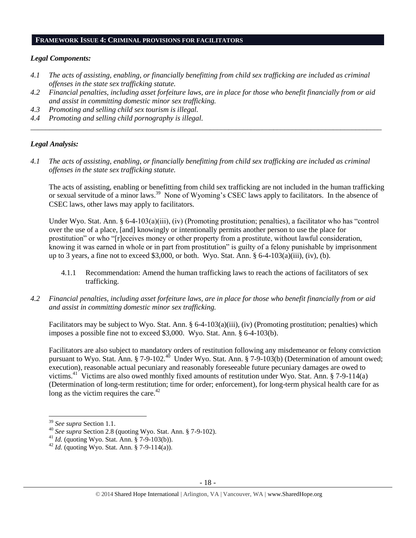#### **FRAMEWORK ISSUE 4: CRIMINAL PROVISIONS FOR FACILITATORS**

#### *Legal Components:*

- *4.1 The acts of assisting, enabling, or financially benefitting from child sex trafficking are included as criminal offenses in the state sex trafficking statute.*
- *4.2 Financial penalties, including asset forfeiture laws, are in place for those who benefit financially from or aid and assist in committing domestic minor sex trafficking.*

*\_\_\_\_\_\_\_\_\_\_\_\_\_\_\_\_\_\_\_\_\_\_\_\_\_\_\_\_\_\_\_\_\_\_\_\_\_\_\_\_\_\_\_\_\_\_\_\_\_\_\_\_\_\_\_\_\_\_\_\_\_\_\_\_\_\_\_\_\_\_\_\_\_\_\_\_\_\_\_\_\_\_\_\_\_\_\_\_\_\_\_\_\_\_*

- *4.3 Promoting and selling child sex tourism is illegal.*
- *4.4 Promoting and selling child pornography is illegal.*

#### *Legal Analysis:*

*4.1 The acts of assisting, enabling, or financially benefitting from child sex trafficking are included as criminal offenses in the state sex trafficking statute.*

The acts of assisting, enabling or benefitting from child sex trafficking are not included in the human trafficking or sexual servitude of a minor laws.<sup>39</sup> None of Wyoming's CSEC laws apply to facilitators. In the absence of CSEC laws, other laws may apply to facilitators.

Under Wyo. Stat. Ann. § 6-4-103(a)(iii), (iv) (Promoting prostitution; penalties), a facilitator who has "control over the use of a place, [and] knowingly or intentionally permits another person to use the place for prostitution" or who "[r]eceives money or other property from a prostitute, without lawful consideration, knowing it was earned in whole or in part from prostitution" is guilty of a felony punishable by imprisonment up to 3 years, a fine not to exceed \$3,000, or both. Wyo. Stat. Ann.  $\S 6-4-103(a)(iii)$ , (iv), (b).

- 4.1.1 Recommendation: Amend the human trafficking laws to reach the actions of facilitators of sex trafficking.
- *4.2 Financial penalties, including asset forfeiture laws, are in place for those who benefit financially from or aid and assist in committing domestic minor sex trafficking.*

Facilitators may be subject to Wyo. Stat. Ann. § 6-4-103(a)(iii), (iv) (Promoting prostitution; penalties) which imposes a possible fine not to exceed \$3,000. Wyo. Stat. Ann. § 6-4-103(b).

Facilitators are also subject to mandatory orders of restitution following any misdemeanor or felony conviction pursuant to Wyo. Stat. Ann. § 7-9-102.<sup>40</sup> Under Wyo. Stat. Ann. § 7-9-103(b) (Determination of amount owed; execution), reasonable actual pecuniary and reasonably foreseeable future pecuniary damages are owed to victims.<sup>41</sup> Victims are also owed monthly fixed amounts of restitution under Wyo. Stat. Ann. § 7-9-114(a) (Determination of long-term restitution; time for order; enforcement), for long-term physical health care for as long as the victim requires the care. $42$ 

l

<sup>39</sup> *See supra* Section 1.1.

<sup>40</sup> *See supra* Section 2.8 (quoting Wyo. Stat. Ann. § 7-9-102).

<sup>41</sup> *Id.* (quoting Wyo. Stat. Ann. § 7-9-103(b)).

<sup>42</sup> *Id.* (quoting Wyo. Stat. Ann. § 7-9-114(a)).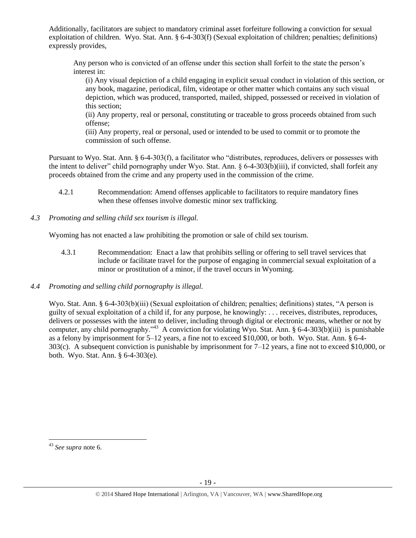Additionally, facilitators are subject to mandatory criminal asset forfeiture following a conviction for sexual exploitation of children. Wyo. Stat. Ann. § 6-4-303(f) (Sexual exploitation of children; penalties; definitions) expressly provides,

Any person who is convicted of an offense under this section shall forfeit to the state the person's interest in:

(i) Any visual depiction of a child engaging in explicit sexual conduct in violation of this section, or any book, magazine, periodical, film, videotape or other matter which contains any such visual depiction, which was produced, transported, mailed, shipped, possessed or received in violation of this section;

(ii) Any property, real or personal, constituting or traceable to gross proceeds obtained from such offense;

(iii) Any property, real or personal, used or intended to be used to commit or to promote the commission of such offense.

Pursuant to Wyo. Stat. Ann. § 6-4-303(f), a facilitator who "distributes, reproduces, delivers or possesses with the intent to deliver" child pornography under Wyo. Stat. Ann. § 6-4-303(b)(iii), if convicted, shall forfeit any proceeds obtained from the crime and any property used in the commission of the crime.

- 4.2.1 Recommendation: Amend offenses applicable to facilitators to require mandatory fines when these offenses involve domestic minor sex trafficking.
- *4.3 Promoting and selling child sex tourism is illegal.*

Wyoming has not enacted a law prohibiting the promotion or sale of child sex tourism.

- 4.3.1 Recommendation: Enact a law that prohibits selling or offering to sell travel services that include or facilitate travel for the purpose of engaging in commercial sexual exploitation of a minor or prostitution of a minor, if the travel occurs in Wyoming.
- *4.4 Promoting and selling child pornography is illegal.*

Wyo. Stat. Ann. § 6-4-303(b)(iii) (Sexual exploitation of children; penalties; definitions) states, "A person is guilty of sexual exploitation of a child if, for any purpose, he knowingly: . . . receives, distributes, reproduces, delivers or possesses with the intent to deliver, including through digital or electronic means, whether or not by computer, any child pornography."<sup>43</sup> A conviction for violating Wyo. Stat. Ann. § 6-4-303(b)(iii) is punishable as a felony by imprisonment for 5–12 years, a fine not to exceed \$10,000, or both. Wyo. Stat. Ann. § 6-4- 303(c). A subsequent conviction is punishable by imprisonment for 7–12 years, a fine not to exceed \$10,000, or both. Wyo. Stat. Ann. § 6-4-303(e).

 $\overline{\phantom{a}}$ <sup>43</sup> *See supra* note [6.](#page-1-3)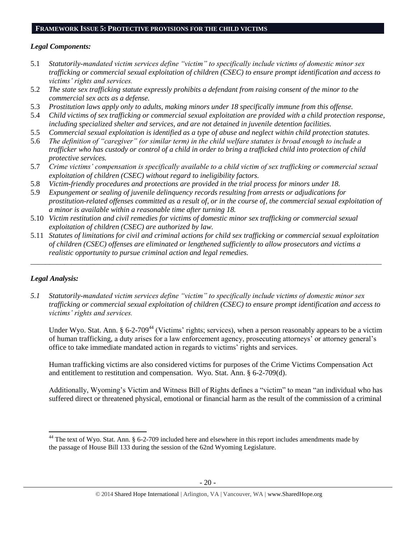#### **FRAMEWORK ISSUE 5: PROTECTIVE PROVISIONS FOR THE CHILD VICTIMS**

#### *Legal Components:*

- 5.1 *Statutorily-mandated victim services define "victim" to specifically include victims of domestic minor sex trafficking or commercial sexual exploitation of children (CSEC) to ensure prompt identification and access to victims' rights and services.*
- 5.2 *The state sex trafficking statute expressly prohibits a defendant from raising consent of the minor to the commercial sex acts as a defense.*
- 5.3 *Prostitution laws apply only to adults, making minors under 18 specifically immune from this offense.*
- 5.4 *Child victims of sex trafficking or commercial sexual exploitation are provided with a child protection response, including specialized shelter and services, and are not detained in juvenile detention facilities.*
- 5.5 *Commercial sexual exploitation is identified as a type of abuse and neglect within child protection statutes.*
- 5.6 *The definition of "caregiver" (or similar term) in the child welfare statutes is broad enough to include a trafficker who has custody or control of a child in order to bring a trafficked child into protection of child protective services.*
- 5.7 *Crime victims' compensation is specifically available to a child victim of sex trafficking or commercial sexual exploitation of children (CSEC) without regard to ineligibility factors.*
- 5.8 *Victim-friendly procedures and protections are provided in the trial process for minors under 18.*
- 5.9 *Expungement or sealing of juvenile delinquency records resulting from arrests or adjudications for prostitution-related offenses committed as a result of, or in the course of, the commercial sexual exploitation of a minor is available within a reasonable time after turning 18.*
- 5.10 *Victim restitution and civil remedies for victims of domestic minor sex trafficking or commercial sexual exploitation of children (CSEC) are authorized by law.*
- 5.11 *Statutes of limitations for civil and criminal actions for child sex trafficking or commercial sexual exploitation of children (CSEC) offenses are eliminated or lengthened sufficiently to allow prosecutors and victims a realistic opportunity to pursue criminal action and legal remedies.*

*\_\_\_\_\_\_\_\_\_\_\_\_\_\_\_\_\_\_\_\_\_\_\_\_\_\_\_\_\_\_\_\_\_\_\_\_\_\_\_\_\_\_\_\_\_\_\_\_\_\_\_\_\_\_\_\_\_\_\_\_\_\_\_\_\_\_\_\_\_\_\_\_\_\_\_\_\_\_\_\_\_\_\_\_\_\_\_\_\_\_\_\_\_\_*

# *Legal Analysis:*

 $\overline{\phantom{a}}$ 

*5.1 Statutorily-mandated victim services define "victim" to specifically include victims of domestic minor sex trafficking or commercial sexual exploitation of children (CSEC) to ensure prompt identification and access to victims' rights and services.* 

Under Wyo. Stat. Ann. § 6-2-709<sup>44</sup> (Victims' rights; services), when a person reasonably appears to be a victim of human trafficking, a duty arises for a law enforcement agency, prosecuting attorneys' or attorney general's office to take immediate mandated action in regards to victims' rights and services.

Human trafficking victims are also considered victims for purposes of the Crime Victims Compensation Act and entitlement to restitution and compensation. Wyo. Stat. Ann. § 6-2-709(d).

Additionally, Wyoming's Victim and Witness Bill of Rights defines a "victim" to mean "an individual who has suffered direct or threatened physical, emotional or financial harm as the result of the commission of a criminal

<sup>&</sup>lt;sup>44</sup> The text of Wyo. Stat. Ann. § 6-2-709 included here and elsewhere in this report includes amendments made by the passage of House Bill 133 during the session of the 62nd Wyoming Legislature.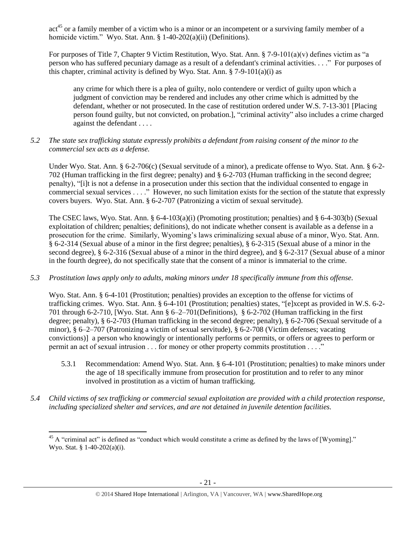act<sup>45</sup> or a family member of a victim who is a minor or an incompetent or a surviving family member of a homicide victim." Wyo. Stat. Ann. § 1-40-202(a)(ii) (Definitions).

For purposes of Title 7, Chapter 9 Victim Restitution, Wyo. Stat. Ann. § 7-9-101(a)(v) defines victim as "a person who has suffered pecuniary damage as a result of a defendant's criminal activities. . . ." For purposes of this chapter, criminal activity is defined by Wyo. Stat. Ann.  $\S$  7-9-101(a)(i) as

any crime for which there is a plea of guilty, nolo contendere or verdict of guilty upon which a judgment of conviction may be rendered and includes any other crime which is admitted by the defendant, whether or not prosecuted. In the case of restitution ordered under W.S. 7-13-301 [Placing person found guilty, but not convicted, on probation.], "criminal activity" also includes a crime charged against the defendant . . . .

*5.2 The state sex trafficking statute expressly prohibits a defendant from raising consent of the minor to the commercial sex acts as a defense.*

Under Wyo. Stat. Ann. § 6-2-706(c) (Sexual servitude of a minor), a predicate offense to Wyo. Stat. Ann. § 6-2-702 (Human trafficking in the first degree; penalty) and § 6-2-703 (Human trafficking in the second degree; penalty), "[i]t is not a defense in a prosecution under this section that the individual consented to engage in commercial sexual services . . . ." However, no such limitation exists for the section of the statute that expressly covers buyers. Wyo. Stat. Ann. § 6-2-707 (Patronizing a victim of sexual servitude).

The CSEC laws, Wyo. Stat. Ann. § 6-4-103(a)(i) (Promoting prostitution; penalties) and § 6-4-303(b) (Sexual exploitation of children; penalties; definitions), do not indicate whether consent is available as a defense in a prosecution for the crime. Similarly, Wyoming's laws criminalizing sexual abuse of a minor, Wyo. Stat. Ann. § 6-2-314 (Sexual abuse of a minor in the first degree; penalties), § 6-2-315 (Sexual abuse of a minor in the second degree), § 6-2-316 (Sexual abuse of a minor in the third degree), and § 6-2-317 (Sexual abuse of a minor in the fourth degree), do not specifically state that the consent of a minor is immaterial to the crime.

# *5.3 Prostitution laws apply only to adults, making minors under 18 specifically immune from this offense.*

Wyo. Stat. Ann. § 6-4-101 (Prostitution; penalties) provides an exception to the offense for victims of trafficking crimes. Wyo. Stat. Ann. § 6-4-101 (Prostitution; penalties) states, "[e]xcept as provided in W.S. 6-2- 701 through 6-2-710, [Wyo. Stat. Ann § 6–2–701(Definitions), § 6-2-702 (Human trafficking in the first degree; penalty), § 6-2-703 (Human trafficking in the second degree; penalty), § 6-2-706 (Sexual servitude of a minor), § 6–2–707 (Patronizing a victim of sexual servitude), § 6-2-708 (Victim defenses; vacating convictions)] a person who knowingly or intentionally performs or permits, or offers or agrees to perform or permit an act of sexual intrusion . . . for money or other property commits prostitution . . . ."

- 5.3.1 Recommendation: Amend Wyo. Stat. Ann. § 6-4-101 (Prostitution; penalties) to make minors under the age of 18 specifically immune from prosecution for prostitution and to refer to any minor involved in prostitution as a victim of human trafficking.
- *5.4 Child victims of sex trafficking or commercial sexual exploitation are provided with a child protection response, including specialized shelter and services, and are not detained in juvenile detention facilities.*

 $\overline{\phantom{a}}$ 

<sup>&</sup>lt;sup>45</sup> A "criminal act" is defined as "conduct which would constitute a crime as defined by the laws of [Wyoming]." Wyo. Stat. § 1-40-202(a)(i).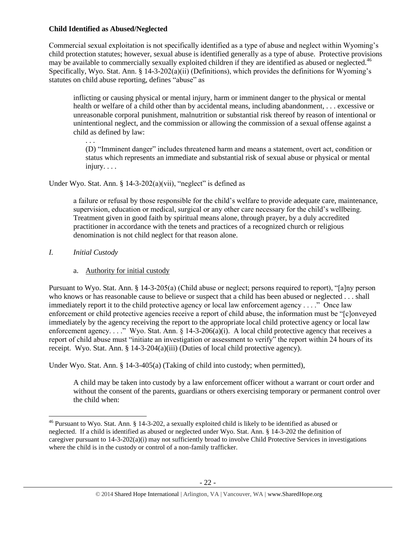# **Child Identified as Abused/Neglected**

Commercial sexual exploitation is not specifically identified as a type of abuse and neglect within Wyoming's child protection statutes; however, sexual abuse is identified generally as a type of abuse. Protective provisions may be available to commercially sexually exploited children if they are identified as abused or neglected.<sup>46</sup> Specifically, Wyo. Stat. Ann. § 14-3-202(a)(ii) (Definitions), which provides the definitions for Wyoming's statutes on child abuse reporting, defines "abuse" as

inflicting or causing physical or mental injury, harm or imminent danger to the physical or mental health or welfare of a child other than by accidental means, including abandonment, . . . excessive or unreasonable corporal punishment, malnutrition or substantial risk thereof by reason of intentional or unintentional neglect, and the commission or allowing the commission of a sexual offense against a child as defined by law:

. . . (D) "Imminent danger" includes threatened harm and means a statement, overt act, condition or status which represents an immediate and substantial risk of sexual abuse or physical or mental injury. . . .

Under Wyo. Stat. Ann.  $\S$  14-3-202(a)(vii), "neglect" is defined as

a failure or refusal by those responsible for the child's welfare to provide adequate care, maintenance, supervision, education or medical, surgical or any other care necessary for the child's wellbeing. Treatment given in good faith by spiritual means alone, through prayer, by a duly accredited practitioner in accordance with the tenets and practices of a recognized church or religious denomination is not child neglect for that reason alone.

*I. Initial Custody*

# a. Authority for initial custody

Pursuant to Wyo. Stat. Ann. § 14-3-205(a) (Child abuse or neglect; persons required to report), "[a]ny person who knows or has reasonable cause to believe or suspect that a child has been abused or neglected . . . shall immediately report it to the child protective agency or local law enforcement agency . . . ." Once law enforcement or child protective agencies receive a report of child abuse, the information must be "[c]onveyed immediately by the agency receiving the report to the appropriate local child protective agency or local law enforcement agency. . . ." Wyo. Stat. Ann. § 14-3-206(a)(i). A local child protective agency that receives a report of child abuse must "initiate an investigation or assessment to verify" the report within 24 hours of its receipt. Wyo. Stat. Ann. § 14-3-204(a)(iii) (Duties of local child protective agency).

Under Wyo. Stat. Ann. § 14-3-405(a) (Taking of child into custody; when permitted),

A child may be taken into custody by a law enforcement officer without a warrant or court order and without the consent of the parents, guardians or others exercising temporary or permanent control over the child when:

l <sup>46</sup> Pursuant to Wyo. Stat. Ann. § 14-3-202, a sexually exploited child is likely to be identified as abused or neglected. If a child is identified as abused or neglected under Wyo. Stat. Ann. § 14-3-202 the definition of caregiver pursuant to 14-3-202(a)(i) may not sufficiently broad to involve Child Protective Services in investigations where the child is in the custody or control of a non-family trafficker.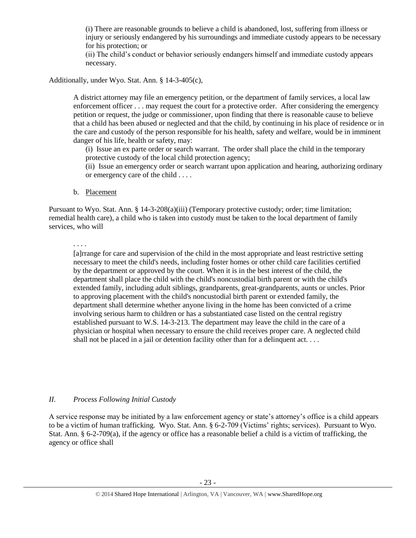(i) There are reasonable grounds to believe a child is abandoned, lost, suffering from illness or injury or seriously endangered by his surroundings and immediate custody appears to be necessary for his protection; or

(ii) The child's conduct or behavior seriously endangers himself and immediate custody appears necessary.

Additionally, under Wyo. Stat. Ann. § 14-3-405(c),

A district attorney may file an emergency petition, or the department of family services, a local law enforcement officer . . . may request the court for a protective order. After considering the emergency petition or request, the judge or commissioner, upon finding that there is reasonable cause to believe that a child has been abused or neglected and that the child, by continuing in his place of residence or in the care and custody of the person responsible for his health, safety and welfare, would be in imminent danger of his life, health or safety, may:

(i) Issue an ex parte order or search warrant. The order shall place the child in the temporary protective custody of the local child protection agency;

(ii) Issue an emergency order or search warrant upon application and hearing, authorizing ordinary or emergency care of the child . . . .

b. Placement

Pursuant to Wyo. Stat. Ann. § 14-3-208(a)(iii) (Temporary protective custody; order; time limitation; remedial health care), a child who is taken into custody must be taken to the local department of family services, who will

. . . .

[a]rrange for care and supervision of the child in the most appropriate and least restrictive setting necessary to meet the child's needs, including foster homes or other child care facilities certified by the department or approved by the court. When it is in the best interest of the child, the department shall place the child with the child's noncustodial birth parent or with the child's extended family, including adult siblings, grandparents, great-grandparents, aunts or uncles. Prior to approving placement with the child's noncustodial birth parent or extended family, the department shall determine whether anyone living in the home has been convicted of a crime involving serious harm to children or has a substantiated case listed on the central registry established pursuant to W.S. 14-3-213. The department may leave the child in the care of a physician or hospital when necessary to ensure the child receives proper care. A neglected child shall not be placed in a jail or detention facility other than for a delinquent act...

# *II. Process Following Initial Custody*

A service response may be initiated by a law enforcement agency or state's attorney's office is a child appears to be a victim of human trafficking. Wyo. Stat. Ann. § 6-2-709 (Victims' rights; services). Pursuant to Wyo. Stat. Ann. § 6-2-709(a), if the agency or office has a reasonable belief a child is a victim of trafficking, the agency or office shall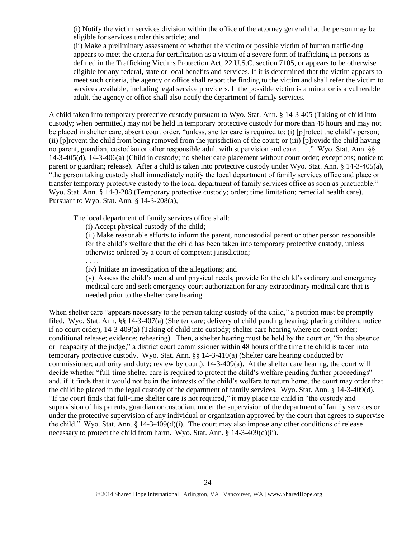(i) Notify the victim services division within the office of the attorney general that the person may be eligible for services under this article; and

(ii) Make a preliminary assessment of whether the victim or possible victim of human trafficking appears to meet the criteria for certification as a victim of a severe form of trafficking in persons as defined in the Trafficking Victims Protection Act, 22 U.S.C. section 7105, or appears to be otherwise eligible for any federal, state or local benefits and services. If it is determined that the victim appears to meet such criteria, the agency or office shall report the finding to the victim and shall refer the victim to services available, including legal service providers. If the possible victim is a minor or is a vulnerable adult, the agency or office shall also notify the department of family services.

A child taken into temporary protective custody pursuant to Wyo. Stat. Ann. § 14-3-405 (Taking of child into custody; when permitted) may not be held in temporary protective custody for more than 48 hours and may not be placed in shelter care, absent court order, "unless, shelter care is required to: (i) [p]rotect the child's person; (ii) [p]revent the child from being removed from the jurisdiction of the court; or (iii) [p]rovide the child having no parent, guardian, custodian or other responsible adult with supervision and care . . . ." Wyo. Stat. Ann. §§ 14-3-405(d), 14-3-406(a) (Child in custody; no shelter care placement without court order; exceptions; notice to parent or guardian; release). After a child is taken into protective custody under Wyo. Stat. Ann. § 14-3-405(a), "the person taking custody shall immediately notify the local department of family services office and place or transfer temporary protective custody to the local department of family services office as soon as practicable." Wyo. Stat. Ann. § 14-3-208 (Temporary protective custody; order; time limitation; remedial health care). Pursuant to Wyo. Stat. Ann. § 14-3-208(a),

The local department of family services office shall:

(i) Accept physical custody of the child;

. . . .

(ii) Make reasonable efforts to inform the parent, noncustodial parent or other person responsible for the child's welfare that the child has been taken into temporary protective custody, unless otherwise ordered by a court of competent jurisdiction;

(iv) Initiate an investigation of the allegations; and

(v) Assess the child's mental and physical needs, provide for the child's ordinary and emergency medical care and seek emergency court authorization for any extraordinary medical care that is needed prior to the shelter care hearing.

When shelter care "appears necessary to the person taking custody of the child," a petition must be promptly filed. Wyo. Stat. Ann. §§ 14-3-407(a) (Shelter care; delivery of child pending hearing; placing children; notice if no court order), 14-3-409(a) (Taking of child into custody; shelter care hearing where no court order; conditional release; evidence; rehearing). Then, a shelter hearing must be held by the court or, "in the absence or incapacity of the judge," a district court commissioner within 48 hours of the time the child is taken into temporary protective custody. Wyo. Stat. Ann. §§ 14-3-410(a) (Shelter care hearing conducted by commissioner; authority and duty; review by court), 14-3-409(a). At the shelter care hearing, the court will decide whether "full-time shelter care is required to protect the child's welfare pending further proceedings" and, if it finds that it would not be in the interests of the child's welfare to return home, the court may order that the child be placed in the legal custody of the department of family services. Wyo. Stat. Ann. § 14-3-409(d). "If the court finds that full-time shelter care is not required," it may place the child in "the custody and supervision of his parents, guardian or custodian, under the supervision of the department of family services or under the protective supervision of any individual or organization approved by the court that agrees to supervise the child." Wyo. Stat. Ann. § 14-3-409(d)(i). The court may also impose any other conditions of release necessary to protect the child from harm. Wyo. Stat. Ann. § 14-3-409(d)(ii).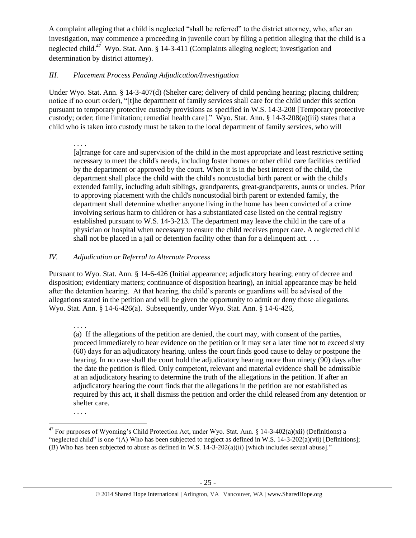A complaint alleging that a child is neglected "shall be referred" to the district attorney, who, after an investigation, may commence a proceeding in juvenile court by filing a petition alleging that the child is a neglected child.<sup>47</sup> Wyo. Stat. Ann. § 14-3-411 (Complaints alleging neglect; investigation and determination by district attorney).

# *III. Placement Process Pending Adjudication/Investigation*

Under Wyo. Stat. Ann. § 14-3-407(d) (Shelter care; delivery of child pending hearing; placing children; notice if no court order), "[t]he department of family services shall care for the child under this section pursuant to temporary protective custody provisions as specified in W.S. 14-3-208 [Temporary protective custody; order; time limitation; remedial health care]." Wyo. Stat. Ann. § 14-3-208(a)(iii) states that a child who is taken into custody must be taken to the local department of family services, who will

. . . .

[a]rrange for care and supervision of the child in the most appropriate and least restrictive setting necessary to meet the child's needs, including foster homes or other child care facilities certified by the department or approved by the court. When it is in the best interest of the child, the department shall place the child with the child's noncustodial birth parent or with the child's extended family, including adult siblings, grandparents, great-grandparents, aunts or uncles. Prior to approving placement with the child's noncustodial birth parent or extended family, the department shall determine whether anyone living in the home has been convicted of a crime involving serious harm to children or has a substantiated case listed on the central registry established pursuant to W.S. 14-3-213. The department may leave the child in the care of a physician or hospital when necessary to ensure the child receives proper care. A neglected child shall not be placed in a jail or detention facility other than for a delinquent act....

# *IV. Adjudication or Referral to Alternate Process*

Pursuant to Wyo. Stat. Ann. § 14-6-426 (Initial appearance; adjudicatory hearing; entry of decree and disposition; evidentiary matters; continuance of disposition hearing), an initial appearance may be held after the detention hearing. At that hearing, the child's parents or guardians will be advised of the allegations stated in the petition and will be given the opportunity to admit or deny those allegations. Wyo. Stat. Ann. § 14-6-426(a). Subsequently, under Wyo. Stat. Ann. § 14-6-426,

. . . .

. . . .

(a) If the allegations of the petition are denied, the court may, with consent of the parties, proceed immediately to hear evidence on the petition or it may set a later time not to exceed sixty (60) days for an adjudicatory hearing, unless the court finds good cause to delay or postpone the hearing. In no case shall the court hold the adjudicatory hearing more than ninety (90) days after the date the petition is filed. Only competent, relevant and material evidence shall be admissible at an adjudicatory hearing to determine the truth of the allegations in the petition. If after an adjudicatory hearing the court finds that the allegations in the petition are not established as required by this act, it shall dismiss the petition and order the child released from any detention or shelter care.

 $\overline{a}$ <sup>47</sup> For purposes of Wyoming's Child Protection Act, under Wyo. Stat. Ann. § 14-3-402(a)(xii) (Definitions) a "neglected child" is one "(A) Who has been subjected to neglect as defined in W.S. 14-3-202(a)(vii) [Definitions]; (B) Who has been subjected to abuse as defined in W.S.  $14-3-202(a)(ii)$  [which includes sexual abuse]."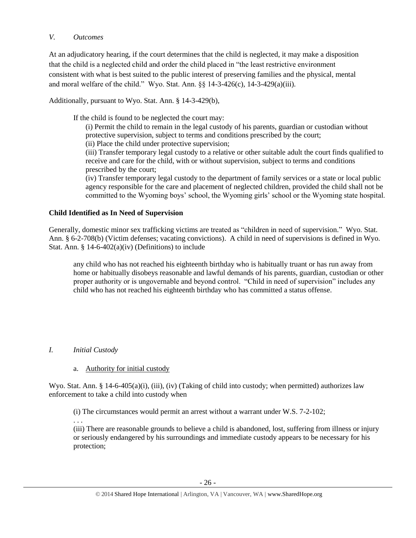# *V. Outcomes*

At an adjudicatory hearing, if the court determines that the child is neglected, it may make a disposition that the child is a neglected child and order the child placed in "the least restrictive environment consistent with what is best suited to the public interest of preserving families and the physical, mental and moral welfare of the child." Wyo. Stat. Ann. §§ 14-3-426(c), 14-3-429(a)(iii).

Additionally, pursuant to Wyo. Stat. Ann. § 14-3-429(b),

If the child is found to be neglected the court may:

(i) Permit the child to remain in the legal custody of his parents, guardian or custodian without protective supervision, subject to terms and conditions prescribed by the court;

(ii) Place the child under protective supervision;

(iii) Transfer temporary legal custody to a relative or other suitable adult the court finds qualified to receive and care for the child, with or without supervision, subject to terms and conditions prescribed by the court;

(iv) Transfer temporary legal custody to the department of family services or a state or local public agency responsible for the care and placement of neglected children, provided the child shall not be committed to the Wyoming boys' school, the Wyoming girls' school or the Wyoming state hospital.

# **Child Identified as In Need of Supervision**

Generally, domestic minor sex trafficking victims are treated as "children in need of supervision." Wyo. Stat. Ann. § 6-2-708(b) (Victim defenses; vacating convictions). A child in need of supervisions is defined in Wyo. Stat. Ann. § 14-6-402(a)(iv) (Definitions) to include

any child who has not reached his eighteenth birthday who is habitually truant or has run away from home or habitually disobeys reasonable and lawful demands of his parents, guardian, custodian or other proper authority or is ungovernable and beyond control. "Child in need of supervision" includes any child who has not reached his eighteenth birthday who has committed a status offense.

# *I. Initial Custody*

# a. Authority for initial custody

Wyo. Stat. Ann. § 14-6-405(a)(i), (iii), (iv) (Taking of child into custody; when permitted) authorizes law enforcement to take a child into custody when

(i) The circumstances would permit an arrest without a warrant under W.S. 7-2-102;

. . .

(iii) There are reasonable grounds to believe a child is abandoned, lost, suffering from illness or injury or seriously endangered by his surroundings and immediate custody appears to be necessary for his protection;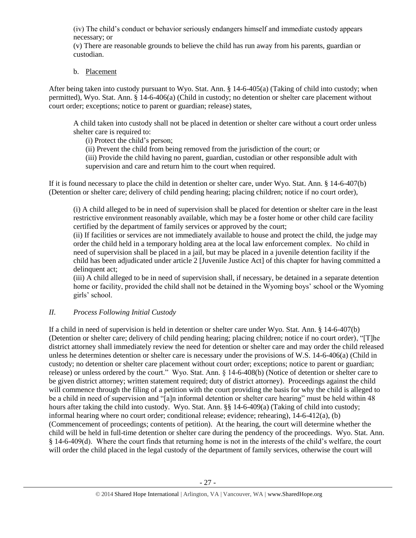(iv) The child's conduct or behavior seriously endangers himself and immediate custody appears necessary; or

(v) There are reasonable grounds to believe the child has run away from his parents, guardian or custodian.

# b. Placement

After being taken into custody pursuant to Wyo. Stat. Ann. § 14-6-405(a) (Taking of child into custody; when permitted), Wyo. Stat. Ann. § 14-6-406(a) (Child in custody; no detention or shelter care placement without court order; exceptions; notice to parent or guardian; release) states,

A child taken into custody shall not be placed in detention or shelter care without a court order unless shelter care is required to:

(i) Protect the child's person;

(ii) Prevent the child from being removed from the jurisdiction of the court; or

(iii) Provide the child having no parent, guardian, custodian or other responsible adult with supervision and care and return him to the court when required.

If it is found necessary to place the child in detention or shelter care, under Wyo. Stat. Ann. § 14-6-407(b) (Detention or shelter care; delivery of child pending hearing; placing children; notice if no court order),

(i) A child alleged to be in need of supervision shall be placed for detention or shelter care in the least restrictive environment reasonably available, which may be a foster home or other child care facility certified by the department of family services or approved by the court;

(ii) If facilities or services are not immediately available to house and protect the child, the judge may order the child held in a temporary holding area at the local law enforcement complex. No child in need of supervision shall be placed in a jail, but may be placed in a juvenile detention facility if the child has been adjudicated under article 2 [Juvenile Justice Act] of this chapter for having committed a delinquent act;

(iii) A child alleged to be in need of supervision shall, if necessary, be detained in a separate detention home or facility, provided the child shall not be detained in the Wyoming boys' school or the Wyoming girls' school.

# *II. Process Following Initial Custody*

If a child in need of supervision is held in detention or shelter care under Wyo. Stat. Ann. § 14-6-407(b) (Detention or shelter care; delivery of child pending hearing; placing children; notice if no court order), "[T]he district attorney shall immediately review the need for detention or shelter care and may order the child released unless he determines detention or shelter care is necessary under the provisions of W.S. 14-6-406(a) (Child in custody; no detention or shelter care placement without court order; exceptions; notice to parent or guardian; release) or unless ordered by the court." Wyo. Stat. Ann. § 14-6-408(b) (Notice of detention or shelter care to be given district attorney; written statement required; duty of district attorney). Proceedings against the child will commence through the filing of a petition with the court providing the basis for why the child is alleged to be a child in need of supervision and "[a]n informal detention or shelter care hearing" must be held within 48 hours after taking the child into custody. Wyo. Stat. Ann. §§ 14-6-409(a) (Taking of child into custody; informal hearing where no court order; conditional release; evidence; rehearing), 14-6-412(a), (b) (Commencement of proceedings; contents of petition). At the hearing, the court will determine whether the child will be held in full-time detention or shelter care during the pendency of the proceedings. Wyo. Stat. Ann. § 14-6-409(d). Where the court finds that returning home is not in the interests of the child's welfare, the court will order the child placed in the legal custody of the department of family services, otherwise the court will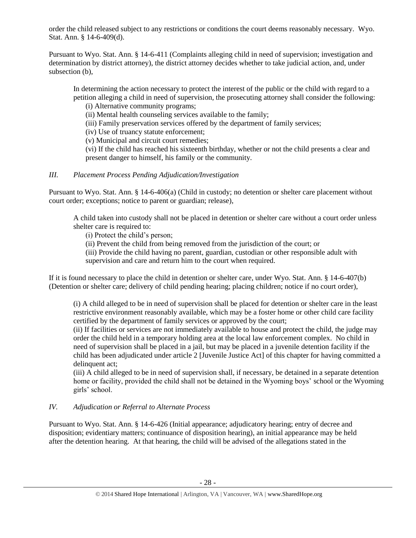order the child released subject to any restrictions or conditions the court deems reasonably necessary. Wyo. Stat. Ann. § 14-6-409(d).

Pursuant to Wyo. Stat. Ann. § 14-6-411 (Complaints alleging child in need of supervision; investigation and determination by district attorney), the district attorney decides whether to take judicial action, and, under subsection (b),

In determining the action necessary to protect the interest of the public or the child with regard to a petition alleging a child in need of supervision, the prosecuting attorney shall consider the following:

(i) Alternative community programs;

(ii) Mental health counseling services available to the family;

(iii) Family preservation services offered by the department of family services;

(iv) Use of truancy statute enforcement;

(v) Municipal and circuit court remedies;

(vi) If the child has reached his sixteenth birthday, whether or not the child presents a clear and present danger to himself, his family or the community.

# *III. Placement Process Pending Adjudication/Investigation*

Pursuant to Wyo. Stat. Ann. § 14-6-406(a) (Child in custody; no detention or shelter care placement without court order; exceptions; notice to parent or guardian; release),

A child taken into custody shall not be placed in detention or shelter care without a court order unless shelter care is required to:

(i) Protect the child's person;

(ii) Prevent the child from being removed from the jurisdiction of the court; or

(iii) Provide the child having no parent, guardian, custodian or other responsible adult with supervision and care and return him to the court when required.

If it is found necessary to place the child in detention or shelter care, under Wyo. Stat. Ann. § 14-6-407(b) (Detention or shelter care; delivery of child pending hearing; placing children; notice if no court order),

(i) A child alleged to be in need of supervision shall be placed for detention or shelter care in the least restrictive environment reasonably available, which may be a foster home or other child care facility certified by the department of family services or approved by the court;

(ii) If facilities or services are not immediately available to house and protect the child, the judge may order the child held in a temporary holding area at the local law enforcement complex. No child in need of supervision shall be placed in a jail, but may be placed in a juvenile detention facility if the child has been adjudicated under article 2 [Juvenile Justice Act] of this chapter for having committed a delinquent act:

(iii) A child alleged to be in need of supervision shall, if necessary, be detained in a separate detention home or facility, provided the child shall not be detained in the Wyoming boys' school or the Wyoming girls' school.

# *IV. Adjudication or Referral to Alternate Process*

Pursuant to Wyo. Stat. Ann. § 14-6-426 (Initial appearance; adjudicatory hearing; entry of decree and disposition; evidentiary matters; continuance of disposition hearing), an initial appearance may be held after the detention hearing. At that hearing, the child will be advised of the allegations stated in the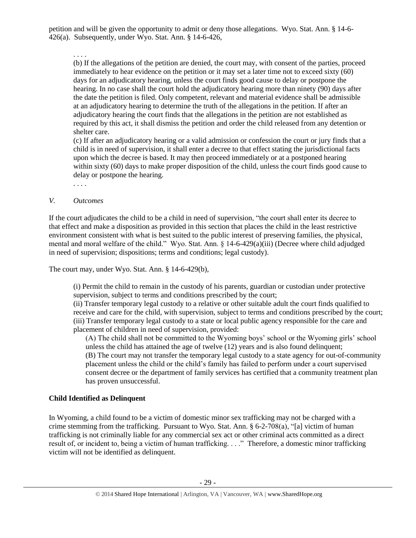petition and will be given the opportunity to admit or deny those allegations. Wyo. Stat. Ann. § 14-6- 426(a). Subsequently, under Wyo. Stat. Ann. § 14-6-426,

#### . . . .

(b) If the allegations of the petition are denied, the court may, with consent of the parties, proceed immediately to hear evidence on the petition or it may set a later time not to exceed sixty (60) days for an adjudicatory hearing, unless the court finds good cause to delay or postpone the hearing. In no case shall the court hold the adjudicatory hearing more than ninety (90) days after the date the petition is filed. Only competent, relevant and material evidence shall be admissible at an adjudicatory hearing to determine the truth of the allegations in the petition. If after an adjudicatory hearing the court finds that the allegations in the petition are not established as required by this act, it shall dismiss the petition and order the child released from any detention or shelter care.

(c) If after an adjudicatory hearing or a valid admission or confession the court or jury finds that a child is in need of supervision, it shall enter a decree to that effect stating the jurisdictional facts upon which the decree is based. It may then proceed immediately or at a postponed hearing within sixty (60) days to make proper disposition of the child, unless the court finds good cause to delay or postpone the hearing.

. . . .

#### *V. Outcomes*

If the court adjudicates the child to be a child in need of supervision, "the court shall enter its decree to that effect and make a disposition as provided in this section that places the child in the least restrictive environment consistent with what is best suited to the public interest of preserving families, the physical, mental and moral welfare of the child." Wyo. Stat. Ann. § 14-6-429(a)(iii) (Decree where child adjudged in need of supervision; dispositions; terms and conditions; legal custody).

The court may, under Wyo. Stat. Ann. § 14-6-429(b),

(i) Permit the child to remain in the custody of his parents, guardian or custodian under protective supervision, subject to terms and conditions prescribed by the court;

(ii) Transfer temporary legal custody to a relative or other suitable adult the court finds qualified to receive and care for the child, with supervision, subject to terms and conditions prescribed by the court; (iii) Transfer temporary legal custody to a state or local public agency responsible for the care and placement of children in need of supervision, provided:

(A) The child shall not be committed to the Wyoming boys' school or the Wyoming girls' school unless the child has attained the age of twelve (12) years and is also found delinquent; (B) The court may not transfer the temporary legal custody to a state agency for out-of-community placement unless the child or the child's family has failed to perform under a court supervised consent decree or the department of family services has certified that a community treatment plan has proven unsuccessful.

# **Child Identified as Delinquent**

In Wyoming, a child found to be a victim of domestic minor sex trafficking may not be charged with a crime stemming from the trafficking. Pursuant to Wyo. Stat. Ann. § 6-2-708(a), "[a] victim of human trafficking is not criminally liable for any commercial sex act or other criminal acts committed as a direct result of, or incident to, being a victim of human trafficking. . . ." Therefore, a domestic minor trafficking victim will not be identified as delinquent.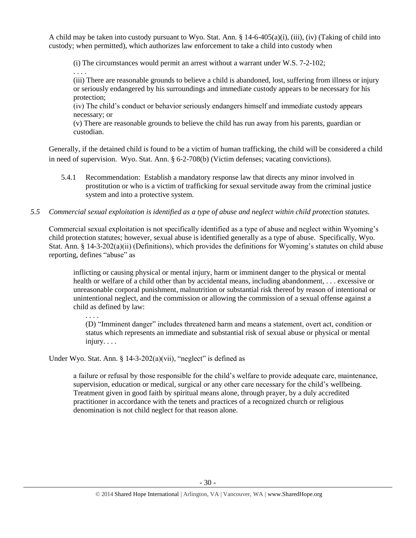A child may be taken into custody pursuant to Wyo. Stat. Ann. § 14-6-405(a)(i), (iii), (iv) (Taking of child into custody; when permitted), which authorizes law enforcement to take a child into custody when

(i) The circumstances would permit an arrest without a warrant under W.S. 7-2-102;

. . . . (iii) There are reasonable grounds to believe a child is abandoned, lost, suffering from illness or injury or seriously endangered by his surroundings and immediate custody appears to be necessary for his protection;

(iv) The child's conduct or behavior seriously endangers himself and immediate custody appears necessary; or

(v) There are reasonable grounds to believe the child has run away from his parents, guardian or custodian.

Generally, if the detained child is found to be a victim of human trafficking, the child will be considered a child in need of supervision. Wyo. Stat. Ann. § 6-2-708(b) (Victim defenses; vacating convictions).

5.4.1 Recommendation: Establish a mandatory response law that directs any minor involved in prostitution or who is a victim of trafficking for sexual servitude away from the criminal justice system and into a protective system.

# *5.5 Commercial sexual exploitation is identified as a type of abuse and neglect within child protection statutes.*

Commercial sexual exploitation is not specifically identified as a type of abuse and neglect within Wyoming's child protection statutes; however, sexual abuse is identified generally as a type of abuse. Specifically, Wyo. Stat. Ann. § 14-3-202(a)(ii) (Definitions), which provides the definitions for Wyoming's statutes on child abuse reporting, defines "abuse" as

inflicting or causing physical or mental injury, harm or imminent danger to the physical or mental health or welfare of a child other than by accidental means, including abandonment, . . . excessive or unreasonable corporal punishment, malnutrition or substantial risk thereof by reason of intentional or unintentional neglect, and the commission or allowing the commission of a sexual offense against a child as defined by law:

. . . .

(D) "Imminent danger" includes threatened harm and means a statement, overt act, condition or status which represents an immediate and substantial risk of sexual abuse or physical or mental injury. . . .

Under Wyo. Stat. Ann. § 14-3-202(a)(vii), "neglect" is defined as

a failure or refusal by those responsible for the child's welfare to provide adequate care, maintenance, supervision, education or medical, surgical or any other care necessary for the child's wellbeing. Treatment given in good faith by spiritual means alone, through prayer, by a duly accredited practitioner in accordance with the tenets and practices of a recognized church or religious denomination is not child neglect for that reason alone.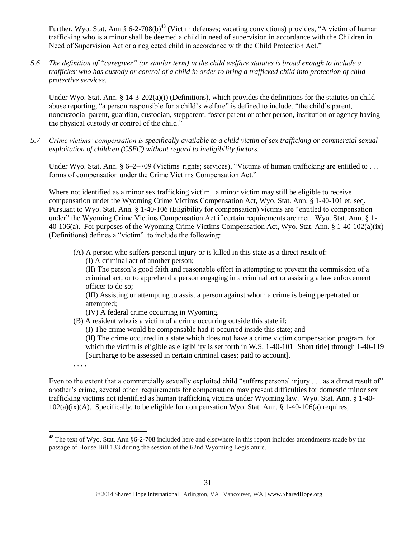Further, Wyo. Stat. Ann § 6-2-708(b)<sup>48</sup> (Victim defenses; vacating convictions) provides, "A victim of human trafficking who is a minor shall be deemed a child in need of supervision in accordance with the Children in Need of Supervision Act or a neglected child in accordance with the Child Protection Act."

*5.6 The definition of "caregiver" (or similar term) in the child welfare statutes is broad enough to include a trafficker who has custody or control of a child in order to bring a trafficked child into protection of child protective services.*

Under Wyo. Stat. Ann. § 14-3-202(a)(i) (Definitions), which provides the definitions for the statutes on child abuse reporting, "a person responsible for a child's welfare" is defined to include, "the child's parent, noncustodial parent, guardian, custodian, stepparent, foster parent or other person, institution or agency having the physical custody or control of the child."

*5.7 Crime victims' compensation is specifically available to a child victim of sex trafficking or commercial sexual exploitation of children (CSEC) without regard to ineligibility factors.*

Under Wyo. Stat. Ann. §  $6-2-709$  (Victims' rights; services), "Victims of human trafficking are entitled to ... forms of compensation under the Crime Victims Compensation Act."

Where not identified as a minor sex trafficking victim, a minor victim may still be eligible to receive compensation under the Wyoming Crime Victims Compensation Act, Wyo. Stat. Ann. § 1-40-101 et. seq. Pursuant to Wyo. Stat. Ann. § 1-40-106 (Eligibility for compensation) victims are "entitled to compensation under" the Wyoming Crime Victims Compensation Act if certain requirements are met. Wyo. Stat. Ann. § 1- 40-106(a). For purposes of the Wyoming Crime Victims Compensation Act, Wyo. Stat. Ann. § 1-40-102(a)(ix) (Definitions) defines a "victim" to include the following:

- (A) A person who suffers personal injury or is killed in this state as a direct result of:
	- (I) A criminal act of another person;

(II) The person's good faith and reasonable effort in attempting to prevent the commission of a criminal act, or to apprehend a person engaging in a criminal act or assisting a law enforcement officer to do so;

(III) Assisting or attempting to assist a person against whom a crime is being perpetrated or attempted;

(IV) A federal crime occurring in Wyoming.

(B) A resident who is a victim of a crime occurring outside this state if: (I) The crime would be compensable had it occurred inside this state; and (II) The crime occurred in a state which does not have a crime victim compensation program, for

which the victim is eligible as eligibility is set forth in W.S. 1-40-101 [Short title] through 1-40-119 [Surcharge to be assessed in certain criminal cases; paid to account].

. . . .

 $\overline{\phantom{a}}$ 

Even to the extent that a commercially sexually exploited child "suffers personal injury . . . as a direct result of" another's crime, several other requirements for compensation may present difficulties for domestic minor sex trafficking victims not identified as human trafficking victims under Wyoming law. Wyo. Stat. Ann. § 1-40- 102(a)(ix)(A). Specifically, to be eligible for compensation Wyo. Stat. Ann. § 1-40-106(a) requires,

 $48$  The text of Wyo. Stat. Ann §6-2-708 included here and elsewhere in this report includes amendments made by the passage of House Bill 133 during the session of the 62nd Wyoming Legislature.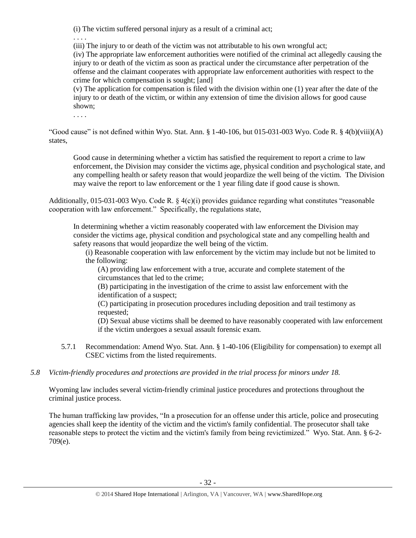(i) The victim suffered personal injury as a result of a criminal act;

. . . .

(iii) The injury to or death of the victim was not attributable to his own wrongful act;

(iv) The appropriate law enforcement authorities were notified of the criminal act allegedly causing the injury to or death of the victim as soon as practical under the circumstance after perpetration of the offense and the claimant cooperates with appropriate law enforcement authorities with respect to the crime for which compensation is sought; [and]

(v) The application for compensation is filed with the division within one (1) year after the date of the injury to or death of the victim, or within any extension of time the division allows for good cause shown;

. . . .

"Good cause" is not defined within Wyo. Stat. Ann.  $\S$  1-40-106, but 015-031-003 Wyo. Code R.  $\S$  4(b)(viii)(A) states,

Good cause in determining whether a victim has satisfied the requirement to report a crime to law enforcement, the Division may consider the victims age, physical condition and psychological state, and any compelling health or safety reason that would jeopardize the well being of the victim. The Division may waive the report to law enforcement or the 1 year filing date if good cause is shown.

Additionally, 015-031-003 Wyo. Code R.  $\S$  4(c)(i) provides guidance regarding what constitutes "reasonable cooperation with law enforcement." Specifically, the regulations state,

In determining whether a victim reasonably cooperated with law enforcement the Division may consider the victims age, physical condition and psychological state and any compelling health and safety reasons that would jeopardize the well being of the victim.

(i) Reasonable cooperation with law enforcement by the victim may include but not be limited to the following:

(A) providing law enforcement with a true, accurate and complete statement of the circumstances that led to the crime;

(B) participating in the investigation of the crime to assist law enforcement with the identification of a suspect;

(C) participating in prosecution procedures including deposition and trail testimony as requested;

(D) Sexual abuse victims shall be deemed to have reasonably cooperated with law enforcement if the victim undergoes a sexual assault forensic exam.

- 5.7.1 Recommendation: Amend Wyo. Stat. Ann. § 1-40-106 (Eligibility for compensation) to exempt all CSEC victims from the listed requirements.
- *5.8 Victim-friendly procedures and protections are provided in the trial process for minors under 18.*

Wyoming law includes several victim-friendly criminal justice procedures and protections throughout the criminal justice process.

The human trafficking law provides, "In a prosecution for an offense under this article, police and prosecuting agencies shall keep the identity of the victim and the victim's family confidential. The prosecutor shall take reasonable steps to protect the victim and the victim's family from being revictimized." Wyo. Stat. Ann. § 6-2- 709(e).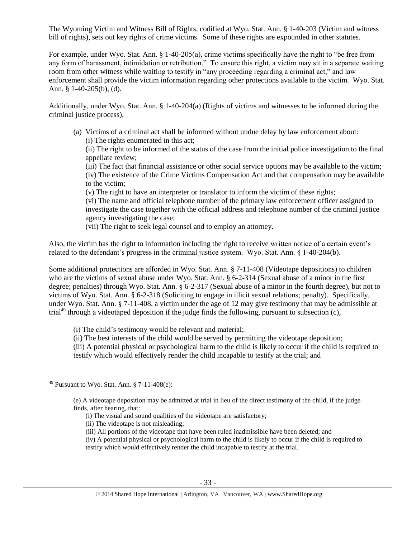The Wyoming Victim and Witness Bill of Rights, codified at Wyo. Stat. Ann. § 1-40-203 (Victim and witness bill of rights), sets out key rights of crime victims. Some of these rights are expounded in other statutes.

For example, under Wyo. Stat. Ann. § 1-40-205(a), crime victims specifically have the right to "be free from any form of harassment, intimidation or retribution." To ensure this right, a victim may sit in a separate waiting room from other witness while waiting to testify in "any proceeding regarding a criminal act," and law enforcement shall provide the victim information regarding other protections available to the victim. Wyo. Stat. Ann. § 1-40-205(b), (d).

Additionally, under Wyo. Stat. Ann. § 1-40-204(a) (Rights of victims and witnesses to be informed during the criminal justice process),

(a) Victims of a criminal act shall be informed without undue delay by law enforcement about: (i) The rights enumerated in this act;

(ii) The right to be informed of the status of the case from the initial police investigation to the final appellate review;

(iii) The fact that financial assistance or other social service options may be available to the victim; (iv) The existence of the Crime Victims Compensation Act and that compensation may be available to the victim;

(v) The right to have an interpreter or translator to inform the victim of these rights;

(vi) The name and official telephone number of the primary law enforcement officer assigned to investigate the case together with the official address and telephone number of the criminal justice agency investigating the case;

(vii) The right to seek legal counsel and to employ an attorney.

Also, the victim has the right to information including the right to receive written notice of a certain event's related to the defendant's progress in the criminal justice system. Wyo. Stat. Ann. § 1-40-204(b).

Some additional protections are afforded in Wyo. Stat. Ann. § 7-11-408 (Videotape depositions) to children who are the victims of sexual abuse under Wyo. Stat. Ann. § 6-2-314 (Sexual abuse of a minor in the first degree; penalties) through Wyo. Stat. Ann. § 6-2-317 (Sexual abuse of a minor in the fourth degree), but not to victims of Wyo. Stat. Ann. § 6-2-318 (Soliciting to engage in illicit sexual relations; penalty). Specifically, under Wyo. Stat. Ann. § 7-11-408, a victim under the age of 12 may give testimony that may be admissible at trial<sup>49</sup> through a videotaped deposition if the judge finds the following, pursuant to subsection (c),

- (i) The child's testimony would be relevant and material;
- (ii) The best interests of the child would be served by permitting the videotape deposition;

(iii) A potential physical or psychological harm to the child is likely to occur if the child is required to testify which would effectively render the child incapable to testify at the trial; and

(iii) All portions of the videotape that have been ruled inadmissible have been deleted; and

 $\overline{\phantom{a}}$  $49$  Pursuant to Wyo. Stat. Ann. § 7-11-408(e):

<sup>(</sup>e) A videotape deposition may be admitted at trial in lieu of the direct testimony of the child, if the judge finds, after hearing, that:

<sup>(</sup>i) The visual and sound qualities of the videotape are satisfactory;

<sup>(</sup>ii) The videotape is not misleading;

<sup>(</sup>iv) A potential physical or psychological harm to the child is likely to occur if the child is required to testify which would effectively render the child incapable to testify at the trial.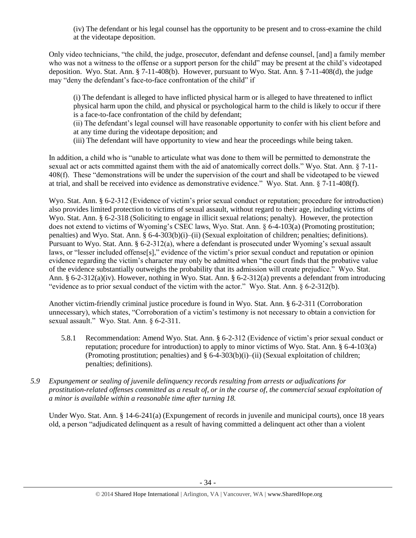(iv) The defendant or his legal counsel has the opportunity to be present and to cross-examine the child at the videotape deposition.

Only video technicians, "the child, the judge, prosecutor, defendant and defense counsel, [and] a family member who was not a witness to the offense or a support person for the child" may be present at the child's videotaped deposition. Wyo. Stat. Ann. § 7-11-408(b). However, pursuant to Wyo. Stat. Ann. § 7-11-408(d), the judge may "deny the defendant's face-to-face confrontation of the child" if

(i) The defendant is alleged to have inflicted physical harm or is alleged to have threatened to inflict physical harm upon the child, and physical or psychological harm to the child is likely to occur if there is a face-to-face confrontation of the child by defendant;

(ii) The defendant's legal counsel will have reasonable opportunity to confer with his client before and at any time during the videotape deposition; and

(iii) The defendant will have opportunity to view and hear the proceedings while being taken.

In addition, a child who is "unable to articulate what was done to them will be permitted to demonstrate the sexual act or acts committed against them with the aid of anatomically correct dolls." Wyo. Stat. Ann. § 7-11- 408(f). These "demonstrations will be under the supervision of the court and shall be videotaped to be viewed at trial, and shall be received into evidence as demonstrative evidence." Wyo. Stat. Ann. § 7-11-408(f).

Wyo. Stat. Ann. § 6-2-312 (Evidence of victim's prior sexual conduct or reputation; procedure for introduction) also provides limited protection to victims of sexual assault, without regard to their age, including victims of Wyo. Stat. Ann. § 6-2-318 (Soliciting to engage in illicit sexual relations; penalty). However, the protection does not extend to victims of Wyoming's CSEC laws, Wyo. Stat. Ann. § 6-4-103(a) (Promoting prostitution; penalties) and Wyo. Stat. Ann. § 6-4-303(b)(i)–(ii) (Sexual exploitation of children; penalties; definitions). Pursuant to Wyo. Stat. Ann. § 6-2-312(a), where a defendant is prosecuted under Wyoming's sexual assault laws, or "lesser included offense[s]," evidence of the victim's prior sexual conduct and reputation or opinion evidence regarding the victim's character may only be admitted when "the court finds that the probative value of the evidence substantially outweighs the probability that its admission will create prejudice." Wyo. Stat. Ann. § 6-2-312(a)(iv). However, nothing in Wyo. Stat. Ann. § 6-2-312(a) prevents a defendant from introducing "evidence as to prior sexual conduct of the victim with the actor." Wyo. Stat. Ann. § 6-2-312(b).

Another victim-friendly criminal justice procedure is found in Wyo. Stat. Ann. § 6-2-311 (Corroboration unnecessary), which states, "Corroboration of a victim's testimony is not necessary to obtain a conviction for sexual assault." Wyo. Stat. Ann. § 6-2-311.

- 5.8.1 Recommendation: Amend Wyo. Stat. Ann. § 6-2-312 (Evidence of victim's prior sexual conduct or reputation; procedure for introduction) to apply to minor victims of Wyo. Stat. Ann. § 6-4-103(a) (Promoting prostitution; penalties) and § 6-4-303(b)(i)–(ii) (Sexual exploitation of children; penalties; definitions).
- *5.9 Expungement or sealing of juvenile delinquency records resulting from arrests or adjudications for prostitution-related offenses committed as a result of, or in the course of, the commercial sexual exploitation of a minor is available within a reasonable time after turning 18.*

Under Wyo. Stat. Ann. § 14-6-241(a) (Expungement of records in juvenile and municipal courts), once 18 years old, a person "adjudicated delinquent as a result of having committed a delinquent act other than a violent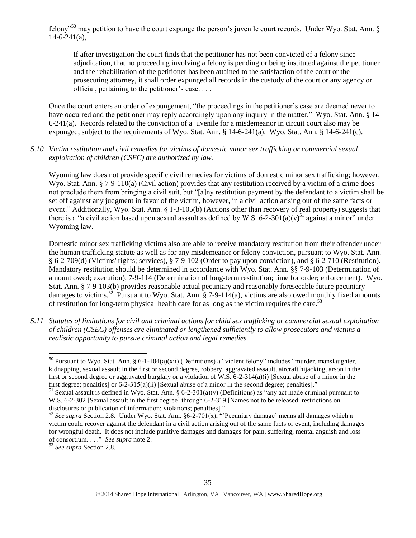felony"<sup>50</sup> may petition to have the court expunge the person's juvenile court records. Under Wyo. Stat. Ann. §  $14-6-241(a)$ ,

If after investigation the court finds that the petitioner has not been convicted of a felony since adjudication, that no proceeding involving a felony is pending or being instituted against the petitioner and the rehabilitation of the petitioner has been attained to the satisfaction of the court or the prosecuting attorney, it shall order expunged all records in the custody of the court or any agency or official, pertaining to the petitioner's case. . . .

Once the court enters an order of expungement, "the proceedings in the petitioner's case are deemed never to have occurred and the petitioner may reply accordingly upon any inquiry in the matter." Wyo. Stat. Ann. § 14-6-241(a). Records related to the conviction of a juvenile for a misdemeanor in circuit court also may be expunged, subject to the requirements of Wyo. Stat. Ann. § 14-6-241(a). Wyo. Stat. Ann. § 14-6-241(c).

#### *5.10 Victim restitution and civil remedies for victims of domestic minor sex trafficking or commercial sexual exploitation of children (CSEC) are authorized by law.*

Wyoming law does not provide specific civil remedies for victims of domestic minor sex trafficking; however, Wyo. Stat. Ann. § 7-9-110(a) (Civil action) provides that any restitution received by a victim of a crime does not preclude them from bringing a civil suit, but "[a]ny restitution payment by the defendant to a victim shall be set off against any judgment in favor of the victim, however, in a civil action arising out of the same facts or event." Additionally, Wyo. Stat. Ann. § 1-3-105(b) (Actions other than recovery of real property) suggests that there is a "a civil action based upon sexual assault as defined by W.S. 6-2-301(a)(v)<sup>51</sup> against a minor" under Wyoming law.

<span id="page-34-0"></span>Domestic minor sex trafficking victims also are able to receive mandatory restitution from their offender under the human trafficking statute as well as for any misdemeanor or felony conviction, pursuant to Wyo. Stat. Ann. § 6-2-709(d) (Victims' rights; services), § 7-9-102 (Order to pay upon conviction), and § 6-2-710 (Restitution). Mandatory restitution should be determined in accordance with Wyo. Stat. Ann. §§ 7-9-103 (Determination of amount owed; execution), 7-9-114 (Determination of long-term restitution; time for order; enforcement). Wyo. Stat. Ann. § 7-9-103(b) provides reasonable actual pecuniary and reasonably foreseeable future pecuniary damages to victims.<sup>52</sup> Pursuant to Wyo. Stat. Ann. § 7-9-114(a), victims are also owed monthly fixed amounts of restitution for long-term physical health care for as long as the victim requires the care.<sup>53</sup>

*5.11 Statutes of limitations for civil and criminal actions for child sex trafficking or commercial sexual exploitation of children (CSEC) offenses are eliminated or lengthened sufficiently to allow prosecutors and victims a realistic opportunity to pursue criminal action and legal remedies.*

 $\overline{a}$ 

<sup>&</sup>lt;sup>50</sup> Pursuant to Wyo. Stat. Ann. § 6-1-104(a)(xii) (Definitions) a "violent felony" includes "murder, manslaughter, kidnapping, sexual assault in the first or second degree, robbery, aggravated assault, aircraft hijacking, arson in the first or second degree or aggravated burglary or a violation of W.S. 6-2-314(a)(i) [Sexual abuse of a minor in the first degree; penalties] or 6-2-315(a)(ii) [Sexual abuse of a minor in the second degree; penalties]."

<sup>&</sup>lt;sup>51</sup> Sexual assault is defined in Wyo. Stat. Ann. § 6-2-301(a)(v) (Definitions) as "any act made criminal pursuant to W.S. 6-2-302 [Sexual assault in the first degree] through 6-2-319 [Names not to be released; restrictions on disclosures or publication of information; violations; penalties]."

<sup>&</sup>lt;sup>52</sup> See supra Section 2.8. Under Wyo. Stat. Ann.  $6-2-701(x)$ , "Pecuniary damage' means all damages which a victim could recover against the defendant in a civil action arising out of the same facts or event, including damages for wrongful death. It does not include punitive damages and damages for pain, suffering, mental anguish and loss of consortium. . . ." *See supra* note [2.](#page-0-0)

<sup>53</sup> *See supra* Section 2.8.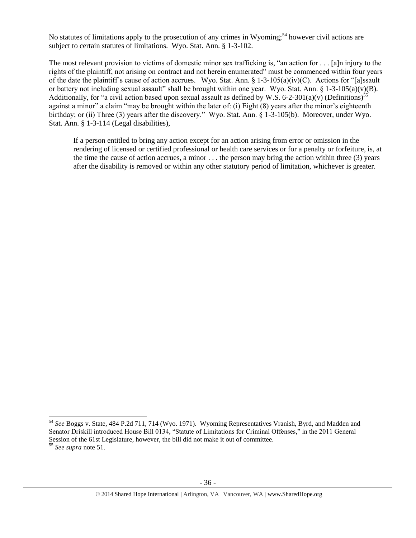No statutes of limitations apply to the prosecution of any crimes in Wyoming;<sup>54</sup> however civil actions are subject to certain statutes of limitations. Wyo. Stat. Ann. § 1-3-102.

The most relevant provision to victims of domestic minor sex trafficking is, "an action for . . . [a]n injury to the rights of the plaintiff, not arising on contract and not herein enumerated" must be commenced within four years of the date the plaintiff's cause of action accrues. Wyo. Stat. Ann. § 1-3-105(a)(iv)(C). Actions for "[a]ssault or battery not including sexual assault" shall be brought within one year. Wyo. Stat. Ann. § 1-3-105(a)(v)(B). Additionally, for "a civil action based upon sexual assault as defined by W.S. 6-2-301(a)(v) (Definitions)<sup>55</sup> against a minor" a claim "may be brought within the later of: (i) Eight (8) years after the minor's eighteenth birthday; or (ii) Three (3) years after the discovery." Wyo. Stat. Ann. § 1-3-105(b). Moreover, under Wyo. Stat. Ann. § 1-3-114 (Legal disabilities),

If a person entitled to bring any action except for an action arising from error or omission in the rendering of licensed or certified professional or health care services or for a penalty or forfeiture, is, at the time the cause of action accrues, a minor . . . the person may bring the action within three (3) years after the disability is removed or within any other statutory period of limitation, whichever is greater.

l

<sup>54</sup> *See* Boggs v. State, 484 P.2d 711, 714 (Wyo. 1971). Wyoming Representatives Vranish, Byrd, and Madden and Senator Driskill introduced House Bill 0134, "Statute of Limitations for Criminal Offenses," in the 2011 General Session of the 61st Legislature, however, the bill did not make it out of committee.

<sup>55</sup> *See supra* note [51.](#page-34-0)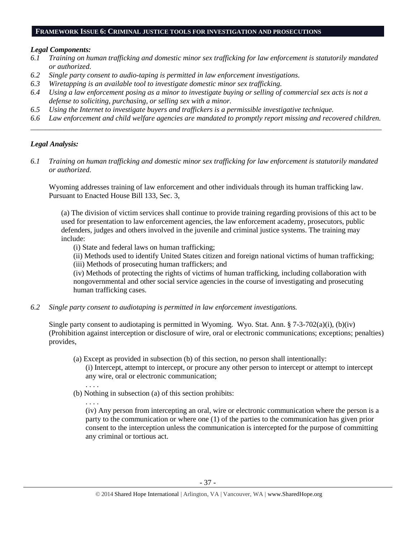#### **FRAMEWORK ISSUE 6: CRIMINAL JUSTICE TOOLS FOR INVESTIGATION AND PROSECUTIONS**

#### *Legal Components:*

- *6.1 Training on human trafficking and domestic minor sex trafficking for law enforcement is statutorily mandated or authorized.*
- *6.2 Single party consent to audio-taping is permitted in law enforcement investigations.*
- *6.3 Wiretapping is an available tool to investigate domestic minor sex trafficking.*
- *6.4 Using a law enforcement posing as a minor to investigate buying or selling of commercial sex acts is not a defense to soliciting, purchasing, or selling sex with a minor.*
- *6.5 Using the Internet to investigate buyers and traffickers is a permissible investigative technique.*
- *6.6 Law enforcement and child welfare agencies are mandated to promptly report missing and recovered children. \_\_\_\_\_\_\_\_\_\_\_\_\_\_\_\_\_\_\_\_\_\_\_\_\_\_\_\_\_\_\_\_\_\_\_\_\_\_\_\_\_\_\_\_\_\_\_\_\_\_\_\_\_\_\_\_\_\_\_\_\_\_\_\_\_\_\_\_\_\_\_\_\_\_\_\_\_\_\_\_\_\_\_\_\_\_\_\_\_\_\_\_\_\_*

#### *Legal Analysis:*

*6.1 Training on human trafficking and domestic minor sex trafficking for law enforcement is statutorily mandated or authorized.*

Wyoming addresses training of law enforcement and other individuals through its human trafficking law. Pursuant to Enacted House Bill 133, Sec. 3,

(a) The division of victim services shall continue to provide training regarding provisions of this act to be used for presentation to law enforcement agencies, the law enforcement academy, prosecutors, public defenders, judges and others involved in the juvenile and criminal justice systems. The training may include:

(i) State and federal laws on human trafficking;

(ii) Methods used to identify United States citizen and foreign national victims of human trafficking;

(iii) Methods of prosecuting human traffickers; and

(iv) Methods of protecting the rights of victims of human trafficking, including collaboration with nongovernmental and other social service agencies in the course of investigating and prosecuting human trafficking cases.

*6.2 Single party consent to audiotaping is permitted in law enforcement investigations.*

Single party consent to audiotaping is permitted in Wyoming. Wyo. Stat. Ann. § 7-3-702(a)(i), (b)(iv) (Prohibition against interception or disclosure of wire, oral or electronic communications; exceptions; penalties) provides,

- (a) Except as provided in subsection (b) of this section, no person shall intentionally: (i) Intercept, attempt to intercept, or procure any other person to intercept or attempt to intercept any wire, oral or electronic communication;
- . . . . (b) Nothing in subsection (a) of this section prohibits:
	- . . . .

(iv) Any person from intercepting an oral, wire or electronic communication where the person is a party to the communication or where one (1) of the parties to the communication has given prior consent to the interception unless the communication is intercepted for the purpose of committing any criminal or tortious act.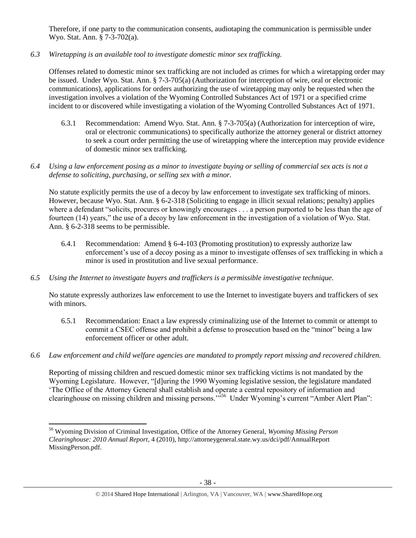Therefore, if one party to the communication consents, audiotaping the communication is permissible under Wyo. Stat. Ann. § 7-3-702(a).

*6.3 Wiretapping is an available tool to investigate domestic minor sex trafficking.* 

Offenses related to domestic minor sex trafficking are not included as crimes for which a wiretapping order may be issued. Under Wyo. Stat. Ann. § 7-3-705(a) (Authorization for interception of wire, oral or electronic communications), applications for orders authorizing the use of wiretapping may only be requested when the investigation involves a violation of the Wyoming Controlled Substances Act of 1971 or a specified crime incident to or discovered while investigating a violation of the Wyoming Controlled Substances Act of 1971.

- 6.3.1 Recommendation: Amend Wyo. Stat. Ann. § 7-3-705(a) (Authorization for interception of wire, oral or electronic communications) to specifically authorize the attorney general or district attorney to seek a court order permitting the use of wiretapping where the interception may provide evidence of domestic minor sex trafficking.
- *6.4 Using a law enforcement posing as a minor to investigate buying or selling of commercial sex acts is not a defense to soliciting, purchasing, or selling sex with a minor.*

No statute explicitly permits the use of a decoy by law enforcement to investigate sex trafficking of minors. However, because Wyo. Stat. Ann. § 6-2-318 (Soliciting to engage in illicit sexual relations; penalty) applies where a defendant "solicits, procures or knowingly encourages . . . a person purported to be less than the age of fourteen (14) years," the use of a decoy by law enforcement in the investigation of a violation of Wyo. Stat. Ann. § 6-2-318 seems to be permissible.

- 6.4.1 Recommendation: Amend § 6-4-103 (Promoting prostitution) to expressly authorize law enforcement's use of a decoy posing as a minor to investigate offenses of sex trafficking in which a minor is used in prostitution and live sexual performance.
- *6.5 Using the Internet to investigate buyers and traffickers is a permissible investigative technique.*

No statute expressly authorizes law enforcement to use the Internet to investigate buyers and traffickers of sex with minors.

- 6.5.1 Recommendation: Enact a law expressly criminalizing use of the Internet to commit or attempt to commit a CSEC offense and prohibit a defense to prosecution based on the "minor" being a law enforcement officer or other adult.
- *6.6 Law enforcement and child welfare agencies are mandated to promptly report missing and recovered children.*

Reporting of missing children and rescued domestic minor sex trafficking victims is not mandated by the Wyoming Legislature. However, "[d]uring the 1990 Wyoming legislative session, the legislature mandated 'The Office of the Attorney General shall establish and operate a central repository of information and clearinghouse on missing children and missing persons."<sup>556</sup> Under Wyoming's current "Amber Alert Plan":

 $\overline{a}$ <sup>56</sup> Wyoming Division of Criminal Investigation, Office of the Attorney General, *Wyoming Missing Person Clearinghouse: 2010 Annual Report*, 4 (2010), http://attorneygeneral.state.wy.us/dci/pdf/AnnualReport MissingPerson.pdf.